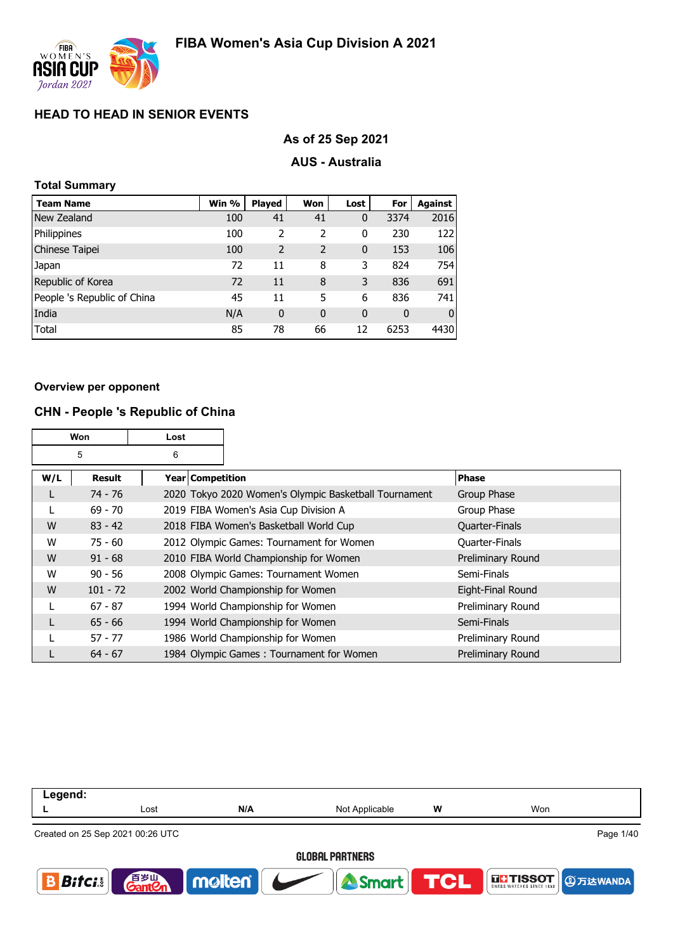

### **As of 25 Sep 2021**

### **AUS - Australia**

| <b>Total Summary</b>        |       |                |             |              |      |                |
|-----------------------------|-------|----------------|-------------|--------------|------|----------------|
| <b>Team Name</b>            | Win % | <b>Played</b>  | Won         | Lost         | For  | <b>Against</b> |
| New Zealand                 | 100   | 41             | 41          | 0            | 3374 | 2016           |
| Philippines                 | 100   | 2              | 2           | 0            | 230  | 122            |
| Chinese Taipei              | 100   | $\overline{2}$ | 2           | $\mathbf{0}$ | 153  | 106            |
| Japan                       | 72    | 11             | 8           | 3            | 824  | 754            |
| Republic of Korea           | 72    | 11             | 8           | 3            | 836  | 691            |
| People 's Republic of China | 45    | 11             | 5           | 6            | 836  | 741            |
| India                       | N/A   | 0              | $\mathbf 0$ | 0            | 0    | O              |
| Total                       | 85    | 78             | 66          | 12           | 6253 | 4430           |

#### **Overview per opponent**

### **CHN - People 's Republic of China**

|     | Won<br>Lost   |  |                  |                                                       |                       |
|-----|---------------|--|------------------|-------------------------------------------------------|-----------------------|
|     | 5<br>6        |  |                  |                                                       |                       |
| W/L | <b>Result</b> |  | Year Competition |                                                       | <b>Phase</b>          |
| L   | $74 - 76$     |  |                  | 2020 Tokyo 2020 Women's Olympic Basketball Tournament | Group Phase           |
|     | $69 - 70$     |  |                  | 2019 FIBA Women's Asia Cup Division A                 | Group Phase           |
| W   | $83 - 42$     |  |                  | 2018 FIBA Women's Basketball World Cup                | <b>Quarter-Finals</b> |
| W   | $75 - 60$     |  |                  | 2012 Olympic Games: Tournament for Women              | Quarter-Finals        |
| W   | $91 - 68$     |  |                  | 2010 FIBA World Championship for Women                | Preliminary Round     |
| W   | $90 - 56$     |  |                  | 2008 Olympic Games: Tournament Women                  | Semi-Finals           |
| W   | $101 - 72$    |  |                  | 2002 World Championship for Women                     | Eight-Final Round     |
|     | $67 - 87$     |  |                  | 1994 World Championship for Women                     | Preliminary Round     |
| L   | $65 - 66$     |  |                  | 1994 World Championship for Women                     | Semi-Finals           |
|     | $57 - 77$     |  |                  | 1986 World Championship for Women                     | Preliminary Round     |
|     | $64 - 67$     |  |                  | 1984 Olympic Games: Tournament for Women              | Preliminary Round     |

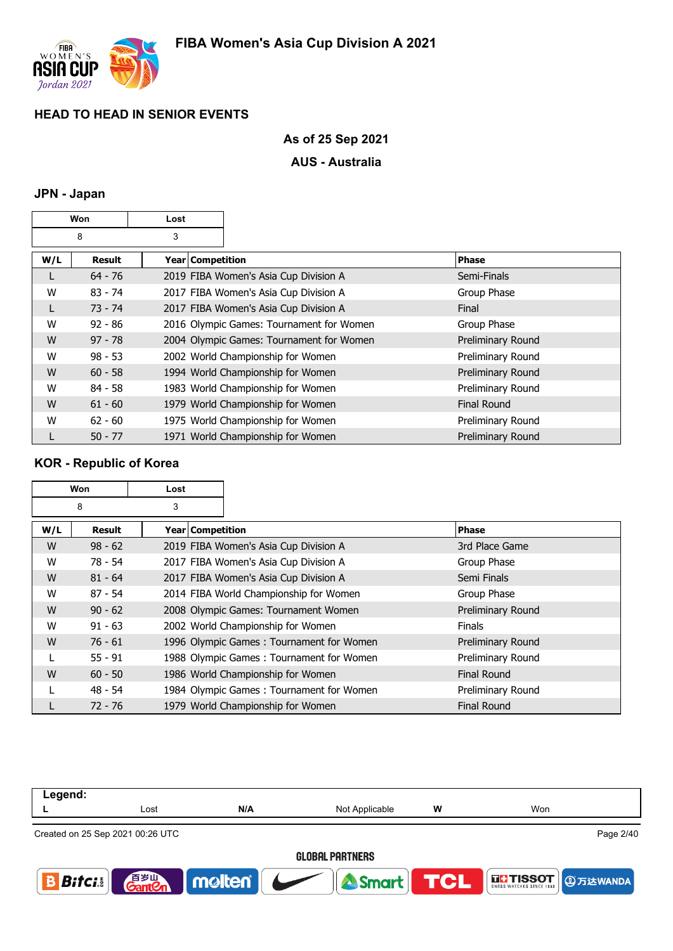

# **As of 25 Sep 2021**

## **AUS - Australia**

### **JPN - Japan**

|     | Won<br>Lost |   |                    |                                          |              |                          |
|-----|-------------|---|--------------------|------------------------------------------|--------------|--------------------------|
|     | 8           | 3 |                    |                                          |              |                          |
| W/L | Result      |   | Year   Competition |                                          | <b>Phase</b> |                          |
| L   | $64 - 76$   |   |                    | 2019 FIBA Women's Asia Cup Division A    |              | Semi-Finals              |
| W   | $83 - 74$   |   |                    | 2017 FIBA Women's Asia Cup Division A    |              | Group Phase              |
| L   | $73 - 74$   |   |                    | 2017 FIBA Women's Asia Cup Division A    | Final        |                          |
| W   | $92 - 86$   |   |                    | 2016 Olympic Games: Tournament for Women |              | Group Phase              |
| W   | $97 - 78$   |   |                    | 2004 Olympic Games: Tournament for Women |              | Preliminary Round        |
| W   | $98 - 53$   |   |                    | 2002 World Championship for Women        |              | Preliminary Round        |
| W   | $60 - 58$   |   |                    | 1994 World Championship for Women        |              | <b>Preliminary Round</b> |
| W   | $84 - 58$   |   |                    | 1983 World Championship for Women        |              | Preliminary Round        |
| W   | $61 - 60$   |   |                    | 1979 World Championship for Women        |              | <b>Final Round</b>       |
| W   | $62 - 60$   |   |                    | 1975 World Championship for Women        |              | Preliminary Round        |
| L   | $50 - 77$   |   |                    | 1971 World Championship for Women        |              | Preliminary Round        |

# **KOR - Republic of Korea**

|     | Won<br>Lost |                    |                                          |                    |
|-----|-------------|--------------------|------------------------------------------|--------------------|
|     | 8           | 3                  |                                          |                    |
| W/L | Result      | Year   Competition |                                          | <b>Phase</b>       |
| W   | $98 - 62$   |                    | 2019 FIBA Women's Asia Cup Division A    | 3rd Place Game     |
| w   | $78 - 54$   |                    | 2017 FIBA Women's Asia Cup Division A    | Group Phase        |
| W   | $81 - 64$   |                    | 2017 FIBA Women's Asia Cup Division A    | Semi Finals        |
| W   | $87 - 54$   |                    | 2014 FIBA World Championship for Women   | Group Phase        |
| W   | $90 - 62$   |                    | 2008 Olympic Games: Tournament Women     | Preliminary Round  |
| W   | $91 - 63$   |                    | 2002 World Championship for Women        | <b>Finals</b>      |
| W   | $76 - 61$   |                    | 1996 Olympic Games: Tournament for Women | Preliminary Round  |
|     | $55 - 91$   |                    | 1988 Olympic Games: Tournament for Women | Preliminary Round  |
| W   | $60 - 50$   |                    | 1986 World Championship for Women        | <b>Final Round</b> |
|     | $48 - 54$   |                    | 1984 Olympic Games: Tournament for Women | Preliminary Round  |
|     | $72 - 76$   |                    | 1979 World Championship for Women        | <b>Final Round</b> |

| Legend:                      |                                  |              |                        |            |                          |
|------------------------------|----------------------------------|--------------|------------------------|------------|--------------------------|
|                              | Lost                             | N/A          | Not Applicable         | W          | Won                      |
|                              | Created on 25 Sep 2021 00:26 UTC |              |                        |            | Page 2/40                |
|                              |                                  |              | <b>GLOBAL PARTNERS</b> |            |                          |
| $\bm{B}$ ifc $\bm{i}$ $\mid$ | 百岁山<br><b>GantCn</b>             | <b>noten</b> | <b>A</b> Smart         | <b>TCL</b> | THSSOT <b>DETERMINED</b> |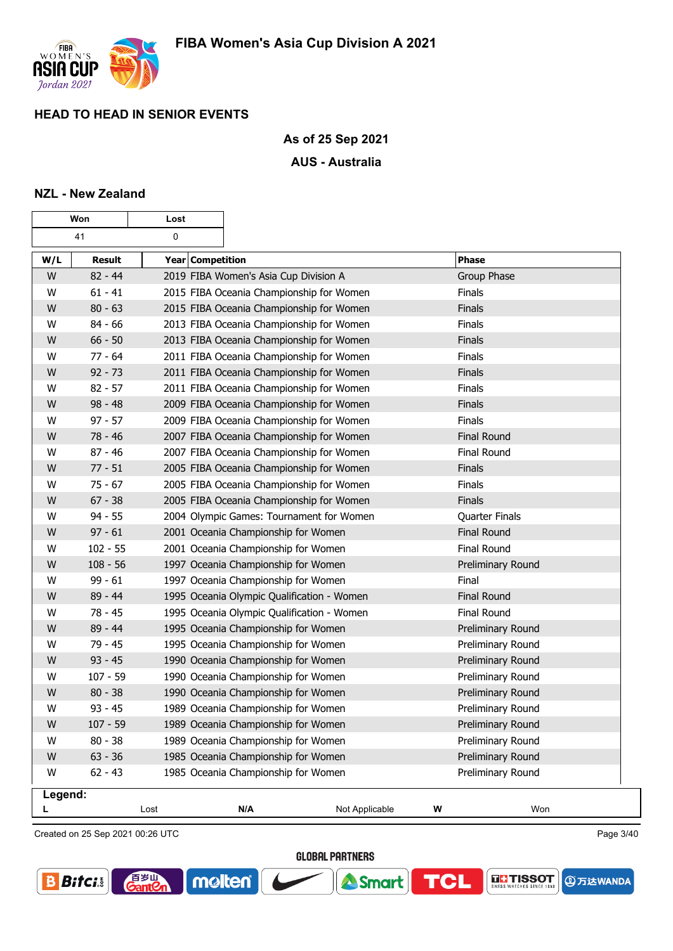

### **As of 25 Sep 2021**

### **AUS - Australia**

### **NZL - New Zealand**

| Won     |            | Lost             |                                            |                |   |                       |
|---------|------------|------------------|--------------------------------------------|----------------|---|-----------------------|
|         | 41<br>0    |                  |                                            |                |   |                       |
| W/L     | Result     | Year Competition |                                            |                |   | <b>Phase</b>          |
| W       | $82 - 44$  |                  | 2019 FIBA Women's Asia Cup Division A      |                |   | <b>Group Phase</b>    |
| W       | $61 - 41$  |                  | 2015 FIBA Oceania Championship for Women   |                |   | Finals                |
| W       | $80 - 63$  |                  | 2015 FIBA Oceania Championship for Women   |                |   | Finals                |
| W       | $84 - 66$  |                  | 2013 FIBA Oceania Championship for Women   |                |   | Finals                |
| W       | $66 - 50$  |                  | 2013 FIBA Oceania Championship for Women   |                |   | <b>Finals</b>         |
| W       | $77 - 64$  |                  | 2011 FIBA Oceania Championship for Women   |                |   | Finals                |
| W       | $92 - 73$  |                  | 2011 FIBA Oceania Championship for Women   |                |   | Finals                |
| W       | $82 - 57$  |                  | 2011 FIBA Oceania Championship for Women   |                |   | Finals                |
| W       | $98 - 48$  |                  | 2009 FIBA Oceania Championship for Women   |                |   | Finals                |
| W       | $97 - 57$  |                  | 2009 FIBA Oceania Championship for Women   |                |   | Finals                |
| W       | 78 - 46    |                  | 2007 FIBA Oceania Championship for Women   |                |   | <b>Final Round</b>    |
| W       | $87 - 46$  |                  | 2007 FIBA Oceania Championship for Women   |                |   | Final Round           |
| W       | $77 - 51$  |                  | 2005 FIBA Oceania Championship for Women   |                |   | <b>Finals</b>         |
| W       | $75 - 67$  |                  | 2005 FIBA Oceania Championship for Women   |                |   | Finals                |
| W       | $67 - 38$  |                  | 2005 FIBA Oceania Championship for Women   |                |   | Finals                |
| W       | $94 - 55$  |                  | 2004 Olympic Games: Tournament for Women   |                |   | <b>Quarter Finals</b> |
| W       | $97 - 61$  |                  | 2001 Oceania Championship for Women        |                |   | <b>Final Round</b>    |
| W       | $102 - 55$ |                  | 2001 Oceania Championship for Women        |                |   | Final Round           |
| W       | $108 - 56$ |                  | 1997 Oceania Championship for Women        |                |   | Preliminary Round     |
| W       | $99 - 61$  |                  | 1997 Oceania Championship for Women        |                |   | Final                 |
| W       | 89 - 44    |                  | 1995 Oceania Olympic Qualification - Women |                |   | <b>Final Round</b>    |
| W       | $78 - 45$  |                  | 1995 Oceania Olympic Qualification - Women |                |   | Final Round           |
| W       | 89 - 44    |                  | 1995 Oceania Championship for Women        |                |   | Preliminary Round     |
| W       | $79 - 45$  |                  | 1995 Oceania Championship for Women        |                |   | Preliminary Round     |
| W       | $93 - 45$  |                  | 1990 Oceania Championship for Women        |                |   | Preliminary Round     |
| W       | $107 - 59$ |                  | 1990 Oceania Championship for Women        |                |   | Preliminary Round     |
| W       | $80 - 38$  |                  | 1990 Oceania Championship for Women        |                |   | Preliminary Round     |
| W       | $93 - 45$  |                  | 1989 Oceania Championship for Women        |                |   | Preliminary Round     |
| W       | $107 - 59$ |                  | 1989 Oceania Championship for Women        |                |   | Preliminary Round     |
| W       | $80 - 38$  |                  | 1989 Oceania Championship for Women        |                |   | Preliminary Round     |
| W       | $63 - 36$  |                  | 1985 Oceania Championship for Women        |                |   | Preliminary Round     |
| W       | $62 - 43$  |                  | 1985 Oceania Championship for Women        |                |   | Preliminary Round     |
| Legend: |            |                  |                                            |                |   |                       |
| L       |            | Lost             | N/A                                        | Not Applicable | W | Won                   |

Created on 25 Sep 2021 00:26 UTC

百岁叫

 $\mathop{{\rm \text{ant}}}{\mathcal{C}}$ 

**GLOBAL PARTNERS** 

**A** Smart

**TCL** 

molten®



Page 3/40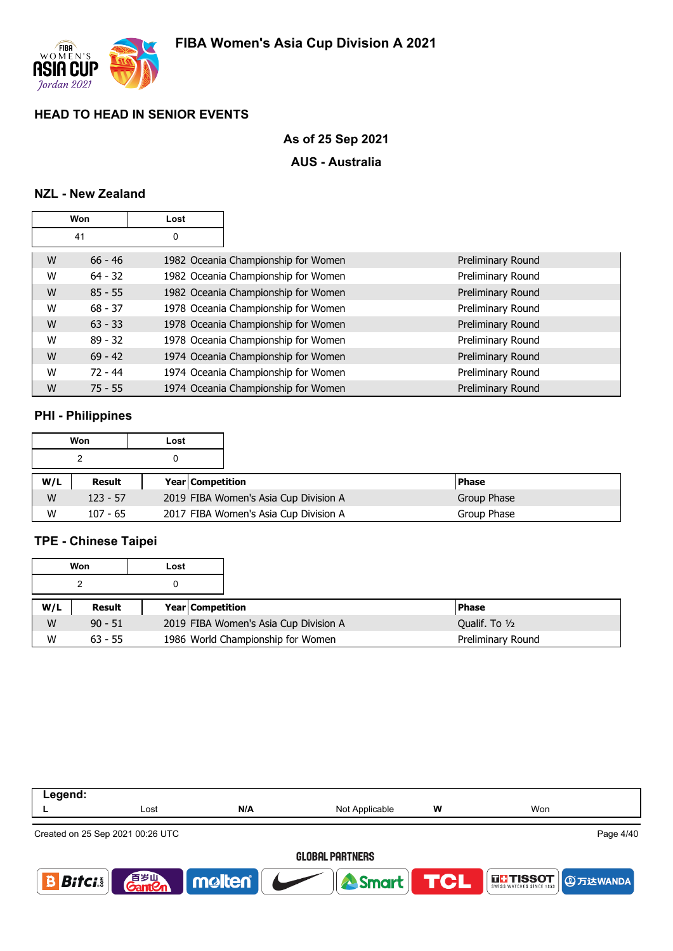

# **As of 25 Sep 2021**

## **AUS - Australia**

# **NZL - New Zealand**

|   | Won       | Lost |                                     |                   |
|---|-----------|------|-------------------------------------|-------------------|
|   | 41        | 0    |                                     |                   |
| W | $66 - 46$ |      | 1982 Oceania Championship for Women | Preliminary Round |
| W | $64 - 32$ |      | 1982 Oceania Championship for Women | Preliminary Round |
| W | $85 - 55$ |      | 1982 Oceania Championship for Women | Preliminary Round |
| W | $68 - 37$ |      | 1978 Oceania Championship for Women | Preliminary Round |
| W | $63 - 33$ |      | 1978 Oceania Championship for Women | Preliminary Round |
| W | $89 - 32$ |      | 1978 Oceania Championship for Women | Preliminary Round |
| W | $69 - 42$ |      | 1974 Oceania Championship for Women | Preliminary Round |
| W | $72 - 44$ |      | 1974 Oceania Championship for Women | Preliminary Round |
| W | $75 - 55$ |      | 1974 Oceania Championship for Women | Preliminary Round |

### **PHI - Philippines**

|     | Won        | Lost |                         |                                       |             |              |
|-----|------------|------|-------------------------|---------------------------------------|-------------|--------------|
|     |            |      |                         |                                       |             |              |
| W/L | Result     |      | <b>Year Competition</b> |                                       |             | <b>Phase</b> |
| W   | $123 - 57$ |      |                         | 2019 FIBA Women's Asia Cup Division A | Group Phase |              |
| W   | $107 - 65$ |      |                         | 2017 FIBA Women's Asia Cup Division A |             | Group Phase  |

# **TPE - Chinese Taipei**

|     | Won       | Lost |                         |                                       |                   |
|-----|-----------|------|-------------------------|---------------------------------------|-------------------|
|     |           |      |                         |                                       |                   |
| W/L | Result    |      | <b>Year Competition</b> |                                       | l Phase           |
| W   | $90 - 51$ |      |                         | 2019 FIBA Women's Asia Cup Division A | Qualif. To 1/2    |
| W   | $63 - 55$ |      |                         | 1986 World Championship for Women     | Preliminary Round |

| Legend:       |                                   |        |                        |   |                                       |           |
|---------------|-----------------------------------|--------|------------------------|---|---------------------------------------|-----------|
|               | Lost                              | N/A    | Not Applicable         | w | Won                                   |           |
|               | Created on 25 Sep 2021 00:26 UTC  |        |                        |   |                                       | Page 4/40 |
|               |                                   |        | <b>GLOBAL PARTNERS</b> |   |                                       |           |
| $B$ ifci $  $ | 音 <sub>岁皿</sub><br>Gant <b>Cn</b> | molten | <b>A Smart FIGHT</b>   |   | THSSOT <b>DETERITMENT DESCRIPTION</b> |           |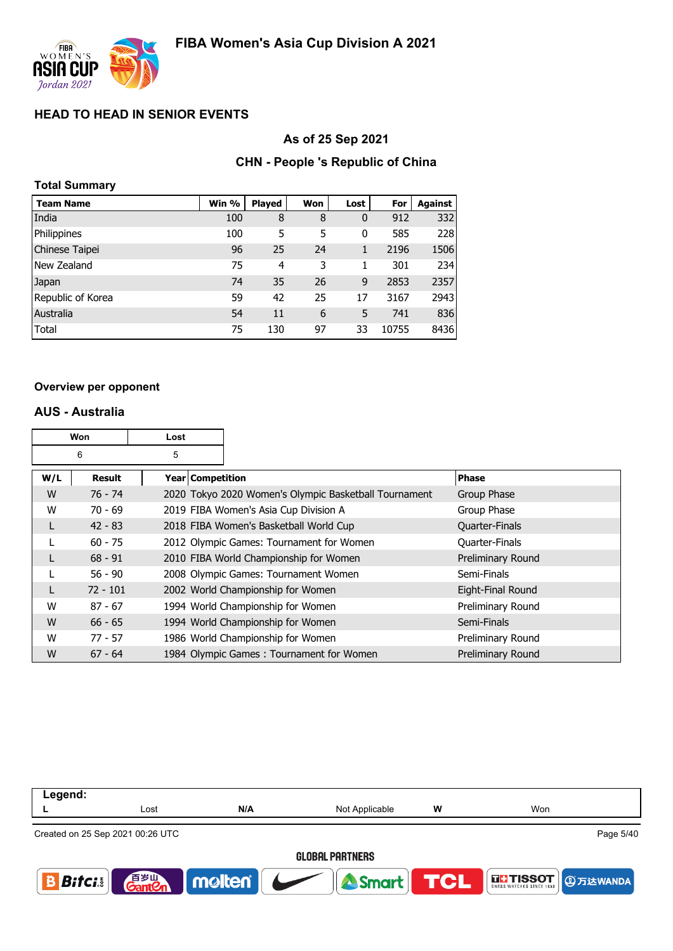

### **As of 25 Sep 2021**

### **CHN - People 's Republic of China**

| <b>Total Summary</b> |       |               |     |             |       |         |
|----------------------|-------|---------------|-----|-------------|-------|---------|
| <b>Team Name</b>     | Win % | <b>Played</b> | Won | Lost        | For   | Against |
| India                | 100   | 8             | 8   | $\mathbf 0$ | 912   | 332     |
| Philippines          | 100   | 5             | 5   | 0           | 585   | 228     |
| Chinese Taipei       | 96    | 25            | 24  | 1           | 2196  | 1506    |
| New Zealand          | 75    | 4             | 3   | 1           | 301   | 234     |
| Japan                | 74    | 35            | 26  | 9           | 2853  | 2357    |
| Republic of Korea    | 59    | 42            | 25  | 17          | 3167  | 2943    |
| Australia            | 54    | 11            | 6   | 5           | 741   | 836     |
| <b>Total</b>         | 75    | 130           | 97  | 33          | 10755 | 8436    |

#### **Overview per opponent**

### **AUS - Australia**

|     | Won<br>Lost   |   |                    |                                                       |                   |
|-----|---------------|---|--------------------|-------------------------------------------------------|-------------------|
|     | 6             | 5 |                    |                                                       |                   |
| W/L | <b>Result</b> |   | Year   Competition |                                                       | <b>Phase</b>      |
| W   | $76 - 74$     |   |                    | 2020 Tokyo 2020 Women's Olympic Basketball Tournament | Group Phase       |
| W   | $70 - 69$     |   |                    | 2019 FIBA Women's Asia Cup Division A                 | Group Phase       |
|     | $42 - 83$     |   |                    | 2018 FIBA Women's Basketball World Cup                | Quarter-Finals    |
|     | $60 - 75$     |   |                    | 2012 Olympic Games: Tournament for Women              | Quarter-Finals    |
|     | $68 - 91$     |   |                    | 2010 FIBA World Championship for Women                | Preliminary Round |
|     | $56 - 90$     |   |                    | 2008 Olympic Games: Tournament Women                  | Semi-Finals       |
|     | $72 - 101$    |   |                    | 2002 World Championship for Women                     | Eight-Final Round |
| W   | $87 - 67$     |   |                    | 1994 World Championship for Women                     | Preliminary Round |
| W   | $66 - 65$     |   |                    | 1994 World Championship for Women                     | Semi-Finals       |
| W   | $77 - 57$     |   |                    | 1986 World Championship for Women                     | Preliminary Round |
| W   | $67 - 64$     |   |                    | 1984 Olympic Games: Tournament for Women              | Preliminary Round |

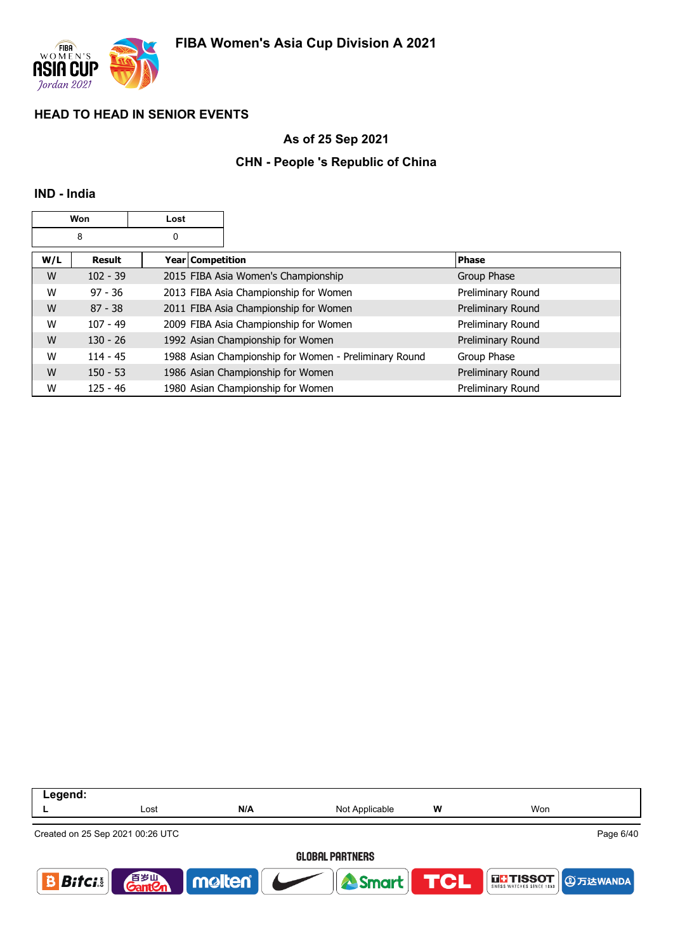

## **As of 25 Sep 2021**

## **CHN - People 's Republic of China**

### **IND - India**

|     | Won           | Lost |                  |                                                       |                   |
|-----|---------------|------|------------------|-------------------------------------------------------|-------------------|
|     | 8             | 0    |                  |                                                       |                   |
| W/L | <b>Result</b> |      | Year Competition |                                                       | <b>Phase</b>      |
| W   | $102 - 39$    |      |                  | 2015 FIBA Asia Women's Championship                   | Group Phase       |
| W   | $97 - 36$     |      |                  | 2013 FIBA Asia Championship for Women                 | Preliminary Round |
| W   | $87 - 38$     |      |                  | 2011 FIBA Asia Championship for Women                 | Preliminary Round |
| W   | $107 - 49$    |      |                  | 2009 FIBA Asia Championship for Women                 | Preliminary Round |
| W   | $130 - 26$    |      |                  | 1992 Asian Championship for Women                     | Preliminary Round |
| W   | $114 - 45$    |      |                  | 1988 Asian Championship for Women - Preliminary Round | Group Phase       |
| W   | $150 - 53$    |      |                  | 1986 Asian Championship for Women                     | Preliminary Round |
| W   | $125 - 46$    |      |                  | 1980 Asian Championship for Women                     | Preliminary Round |

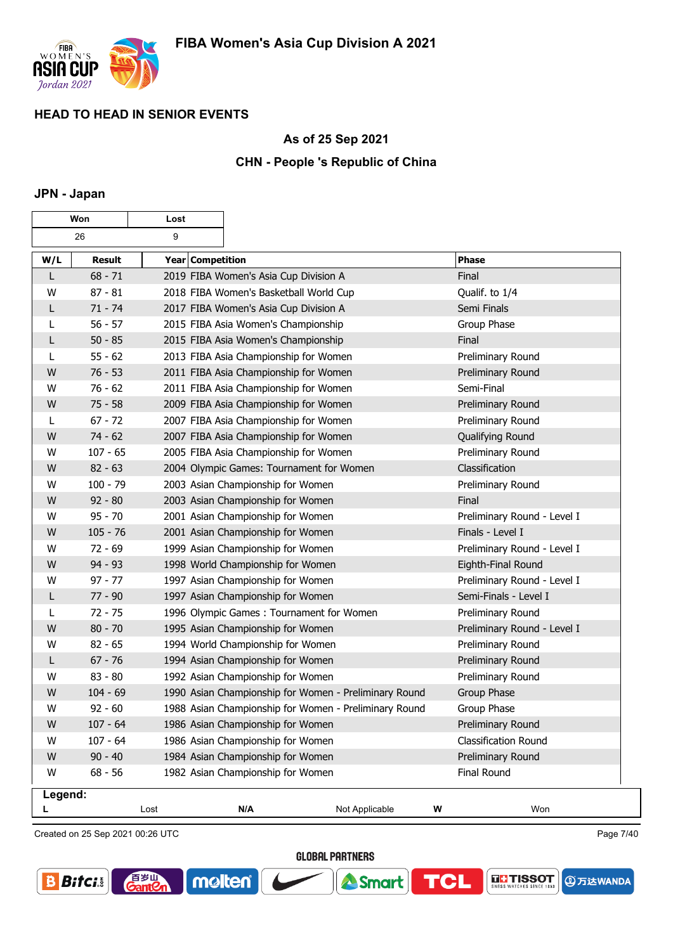

### **As of 25 Sep 2021**

## **CHN - People 's Republic of China**

### **JPN - Japan**

| Won     |               | Lost             |                                                       |                                                       |   |                             |
|---------|---------------|------------------|-------------------------------------------------------|-------------------------------------------------------|---|-----------------------------|
|         | 26            | 9                |                                                       |                                                       |   |                             |
| W/L     | <b>Result</b> | Year Competition |                                                       |                                                       |   | <b>Phase</b>                |
| L       | $68 - 71$     |                  | 2019 FIBA Women's Asia Cup Division A                 |                                                       |   | Final                       |
| W       | $87 - 81$     |                  | 2018 FIBA Women's Basketball World Cup                |                                                       |   | Qualif. to 1/4              |
| L       | $71 - 74$     |                  | 2017 FIBA Women's Asia Cup Division A                 |                                                       |   | Semi Finals                 |
| L       | $56 - 57$     |                  | 2015 FIBA Asia Women's Championship                   |                                                       |   | Group Phase                 |
| L       | $50 - 85$     |                  | 2015 FIBA Asia Women's Championship                   |                                                       |   | Final                       |
| L       | $55 - 62$     |                  | 2013 FIBA Asia Championship for Women                 |                                                       |   | Preliminary Round           |
| W       | $76 - 53$     |                  | 2011 FIBA Asia Championship for Women                 |                                                       |   | Preliminary Round           |
| W       | $76 - 62$     |                  | 2011 FIBA Asia Championship for Women                 |                                                       |   | Semi-Final                  |
| W       | $75 - 58$     |                  | 2009 FIBA Asia Championship for Women                 |                                                       |   | Preliminary Round           |
| L       | $67 - 72$     |                  | 2007 FIBA Asia Championship for Women                 |                                                       |   | Preliminary Round           |
| W       | $74 - 62$     |                  | 2007 FIBA Asia Championship for Women                 |                                                       |   | Qualifying Round            |
| W       | $107 - 65$    |                  | 2005 FIBA Asia Championship for Women                 |                                                       |   | Preliminary Round           |
| W       | $82 - 63$     |                  | 2004 Olympic Games: Tournament for Women              |                                                       |   | Classification              |
| W       | $100 - 79$    |                  | 2003 Asian Championship for Women                     |                                                       |   | Preliminary Round           |
| W       | $92 - 80$     |                  | 2003 Asian Championship for Women                     |                                                       |   | Final                       |
| W       | $95 - 70$     |                  | 2001 Asian Championship for Women                     |                                                       |   | Preliminary Round - Level I |
| W       | $105 - 76$    |                  | 2001 Asian Championship for Women                     |                                                       |   | Finals - Level I            |
| W       | $72 - 69$     |                  | 1999 Asian Championship for Women                     |                                                       |   | Preliminary Round - Level I |
| W       | $94 - 93$     |                  | 1998 World Championship for Women                     |                                                       |   | Eighth-Final Round          |
| W       | $97 - 77$     |                  | 1997 Asian Championship for Women                     |                                                       |   | Preliminary Round - Level I |
| L       | $77 - 90$     |                  | 1997 Asian Championship for Women                     |                                                       |   | Semi-Finals - Level I       |
| L       | $72 - 75$     |                  | 1996 Olympic Games: Tournament for Women              |                                                       |   | Preliminary Round           |
| W       | $80 - 70$     |                  | 1995 Asian Championship for Women                     |                                                       |   | Preliminary Round - Level I |
| W       | $82 - 65$     |                  | 1994 World Championship for Women                     |                                                       |   | Preliminary Round           |
| L       | $67 - 76$     |                  | 1994 Asian Championship for Women                     |                                                       |   | Preliminary Round           |
| W       | $83 - 80$     |                  | 1992 Asian Championship for Women                     |                                                       |   | Preliminary Round           |
| W       | $104 - 69$    |                  | 1990 Asian Championship for Women - Preliminary Round |                                                       |   | Group Phase                 |
| W       | $92 - 60$     |                  |                                                       | 1988 Asian Championship for Women - Preliminary Round |   | Group Phase                 |
| W       | $107 - 64$    |                  |                                                       | 1986 Asian Championship for Women                     |   | Preliminary Round           |
| W       | $107 - 64$    |                  | 1986 Asian Championship for Women                     |                                                       |   | <b>Classification Round</b> |
| W       | $90 - 40$     |                  | 1984 Asian Championship for Women                     |                                                       |   | Preliminary Round           |
| W       | $68 - 56$     |                  | 1982 Asian Championship for Women                     |                                                       |   | <b>Final Round</b>          |
| Legend: |               |                  |                                                       |                                                       |   |                             |
|         |               | Lost             | N/A                                                   | Not Applicable                                        | W | Won                         |

Created on 25 Sep 2021 00:26 UTC

百岁叫

 $\mathop{{\rm \text{ant}}}{\mathcal{C}}$ 

Page 7/40

**④万达WANDA** 

**THE TISSOT** 

**GLOBAL PARTNERS** 

**A** Smart

**TCL** 

molten®

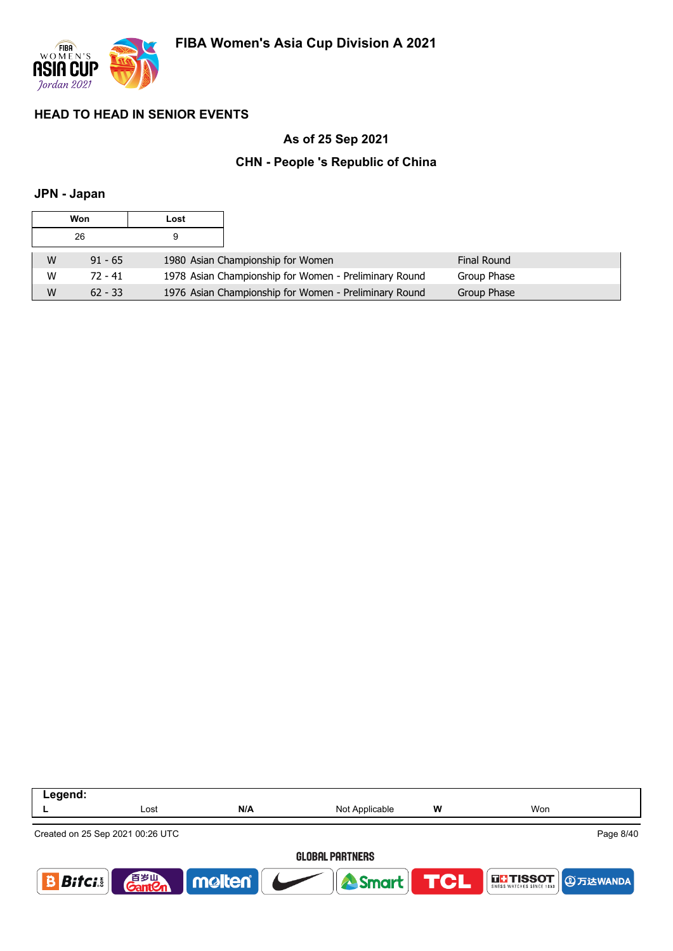

# **As of 25 Sep 2021**

## **CHN - People 's Republic of China**

## **JPN - Japan**

| Won |           | Lost |                                                       |             |
|-----|-----------|------|-------------------------------------------------------|-------------|
|     | 26        |      |                                                       |             |
| W   | $91 - 65$ |      | 1980 Asian Championship for Women                     | Final Round |
| W   | 72 - 41   |      | 1978 Asian Championship for Women - Preliminary Round | Group Phase |
| W   | $62 - 33$ |      | 1976 Asian Championship for Women - Preliminary Round | Group Phase |

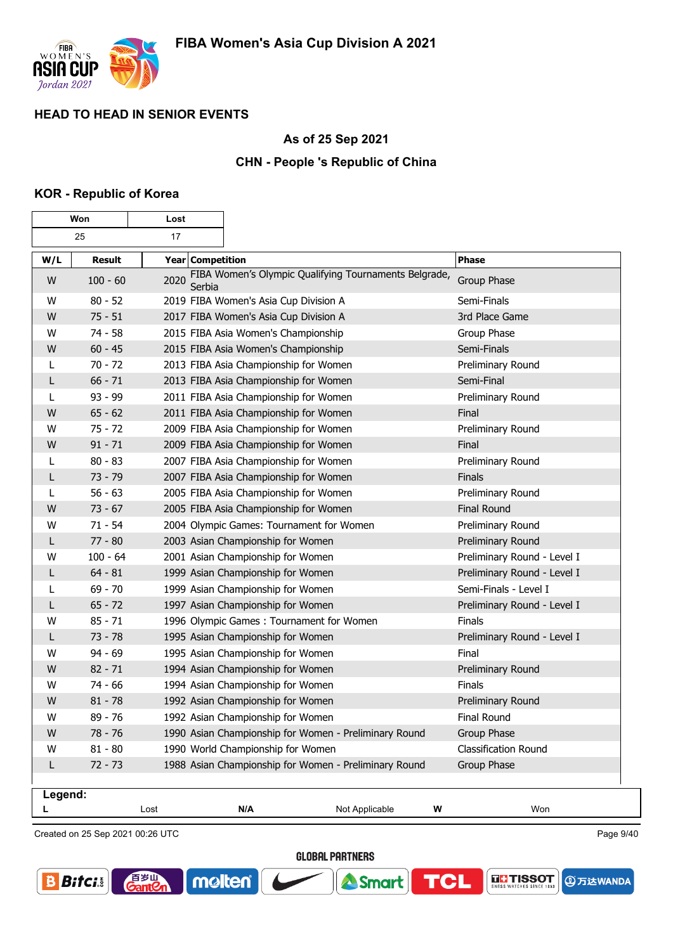

┑

### **As of 25 Sep 2021**

## **CHN - People 's Republic of China**

### **KOR - Republic of Korea**

Г

| Won     |               | Lost             |                                                       |                |                             |
|---------|---------------|------------------|-------------------------------------------------------|----------------|-----------------------------|
|         | 25<br>17      |                  |                                                       |                |                             |
| W/L     | <b>Result</b> | Year Competition |                                                       |                | <b>Phase</b>                |
| W       | $100 - 60$    | 2020<br>Serbia   | FIBA Women's Olympic Qualifying Tournaments Belgrade, |                | Group Phase                 |
| W       | $80 - 52$     |                  | 2019 FIBA Women's Asia Cup Division A                 |                | Semi-Finals                 |
| W       | $75 - 51$     |                  | 2017 FIBA Women's Asia Cup Division A                 |                | 3rd Place Game              |
| W       | $74 - 58$     |                  | 2015 FIBA Asia Women's Championship                   |                | Group Phase                 |
| W       | $60 - 45$     |                  | 2015 FIBA Asia Women's Championship                   |                | Semi-Finals                 |
| L       | $70 - 72$     |                  | 2013 FIBA Asia Championship for Women                 |                | Preliminary Round           |
| L       | $66 - 71$     |                  | 2013 FIBA Asia Championship for Women                 |                | Semi-Final                  |
| L       | $93 - 99$     |                  | 2011 FIBA Asia Championship for Women                 |                | Preliminary Round           |
| W       | $65 - 62$     |                  | 2011 FIBA Asia Championship for Women                 |                | Final                       |
| W       | $75 - 72$     |                  | 2009 FIBA Asia Championship for Women                 |                | Preliminary Round           |
| W       | $91 - 71$     |                  | 2009 FIBA Asia Championship for Women                 |                | Final                       |
| L       | $80 - 83$     |                  | 2007 FIBA Asia Championship for Women                 |                | Preliminary Round           |
| L       | $73 - 79$     |                  | 2007 FIBA Asia Championship for Women                 |                | Finals                      |
| L       | $56 - 63$     |                  | 2005 FIBA Asia Championship for Women                 |                | Preliminary Round           |
| W       | $73 - 67$     |                  | 2005 FIBA Asia Championship for Women                 |                | <b>Final Round</b>          |
| W       | $71 - 54$     |                  | 2004 Olympic Games: Tournament for Women              |                | Preliminary Round           |
| L       | $77 - 80$     |                  | 2003 Asian Championship for Women                     |                | Preliminary Round           |
| w       | $100 - 64$    |                  | 2001 Asian Championship for Women                     |                | Preliminary Round - Level I |
| L       | $64 - 81$     |                  | 1999 Asian Championship for Women                     |                | Preliminary Round - Level I |
| L       | $69 - 70$     |                  | 1999 Asian Championship for Women                     |                | Semi-Finals - Level I       |
| L       | $65 - 72$     |                  | 1997 Asian Championship for Women                     |                | Preliminary Round - Level I |
| W       | $85 - 71$     |                  | 1996 Olympic Games: Tournament for Women              |                | Finals                      |
| L       | $73 - 78$     |                  | 1995 Asian Championship for Women                     |                | Preliminary Round - Level I |
| W       | $94 - 69$     |                  | 1995 Asian Championship for Women                     |                | Final                       |
| W       | $82 - 71$     |                  | 1994 Asian Championship for Women                     |                | Preliminary Round           |
| W       | $74 - 66$     |                  | 1994 Asian Championship for Women                     |                | Finals                      |
| W       | $81 - 78$     |                  | 1992 Asian Championship for Women                     |                | Preliminary Round           |
| W       | $89 - 76$     |                  | 1992 Asian Championship for Women                     |                | <b>Final Round</b>          |
| W       | 78 - 76       |                  | 1990 Asian Championship for Women - Preliminary Round |                | Group Phase                 |
| W       | $81 - 80$     |                  | 1990 World Championship for Women                     |                | Classification Round        |
| L       | $72 - 73$     |                  | 1988 Asian Championship for Women - Preliminary Round |                | Group Phase                 |
| Legend: |               |                  |                                                       |                |                             |
|         |               | Lost             | N/A                                                   | Not Applicable | W<br>Won                    |

Created on 25 Sep 2021 00:26 UTC

百岁叫

 $\mathop{\rm int}\nolimits\hspace{-1.5ex}{\mathcal{C}}$ r

Page 9/40

**④万达WANDA** 

**THE TISSOT** 

**GLOBAL PARTNERS** 

**A** Smart

**TCL** 

molten®

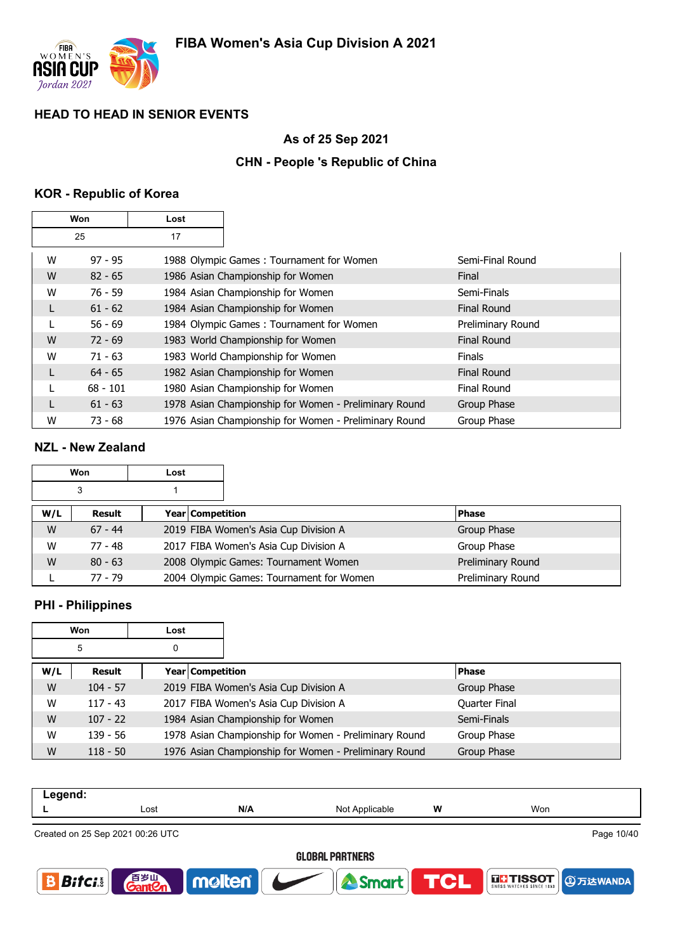

## **As of 25 Sep 2021**

# **CHN - People 's Republic of China**

### **KOR - Republic of Korea**

| Won |            | Lost |                                                       |                    |
|-----|------------|------|-------------------------------------------------------|--------------------|
|     | 25         | 17   |                                                       |                    |
| W   | $97 - 95$  |      | 1988 Olympic Games: Tournament for Women              | Semi-Final Round   |
| W   | $82 - 65$  |      | 1986 Asian Championship for Women                     | Final              |
| W   | $76 - 59$  |      | 1984 Asian Championship for Women                     | Semi-Finals        |
| L   | $61 - 62$  |      | 1984 Asian Championship for Women                     | <b>Final Round</b> |
|     | $56 - 69$  |      | 1984 Olympic Games: Tournament for Women              | Preliminary Round  |
| W   | $72 - 69$  |      | 1983 World Championship for Women                     | <b>Final Round</b> |
| W   | $71 - 63$  |      | 1983 World Championship for Women                     | <b>Finals</b>      |
| L   | $64 - 65$  |      | 1982 Asian Championship for Women                     | <b>Final Round</b> |
|     | $68 - 101$ |      | 1980 Asian Championship for Women                     | Final Round        |
| L   | $61 - 63$  |      | 1978 Asian Championship for Women - Preliminary Round | Group Phase        |
| W   | $73 - 68$  |      | 1976 Asian Championship for Women - Preliminary Round | Group Phase        |

## **NZL - New Zealand**

|     | Won       | Lost                    |                                          |                   |
|-----|-----------|-------------------------|------------------------------------------|-------------------|
|     | 3         |                         |                                          |                   |
| W/L | Result    | <b>Year Competition</b> |                                          | <b>Phase</b>      |
| W   | $67 - 44$ |                         | 2019 FIBA Women's Asia Cup Division A    | Group Phase       |
| W   | $77 - 48$ |                         | 2017 FIBA Women's Asia Cup Division A    | Group Phase       |
| W   | $80 - 63$ |                         | 2008 Olympic Games: Tournament Women     | Preliminary Round |
|     | 77 - 79   |                         | 2004 Olympic Games: Tournament for Women | Preliminary Round |

### **PHI - Philippines**

| Won    |            | Lost |                    |                                                       |               |  |
|--------|------------|------|--------------------|-------------------------------------------------------|---------------|--|
| 5<br>0 |            |      |                    |                                                       |               |  |
| W/L    | Result     |      | Year   Competition |                                                       | <b>Phase</b>  |  |
| W      | $104 - 57$ |      |                    | 2019 FIBA Women's Asia Cup Division A                 | Group Phase   |  |
| W      | $117 - 43$ |      |                    | 2017 FIBA Women's Asia Cup Division A                 | Quarter Final |  |
| W      | $107 - 22$ |      |                    | 1984 Asian Championship for Women                     | Semi-Finals   |  |
| W      | $139 - 56$ |      |                    | 1978 Asian Championship for Women - Preliminary Round | Group Phase   |  |
| W      | $118 - 50$ |      |                    | 1976 Asian Championship for Women - Preliminary Round | Group Phase   |  |

| Legend: |                                  |     |                |   |     |            |  |  |
|---------|----------------------------------|-----|----------------|---|-----|------------|--|--|
|         | ∟ost                             | N/A | Not Applicable | w | Won |            |  |  |
|         | Created on 25 Sep 2021 00:26 UTC |     |                |   |     | Page 10/40 |  |  |

# **GLOBAL PARTNERS**

Smart

molten®



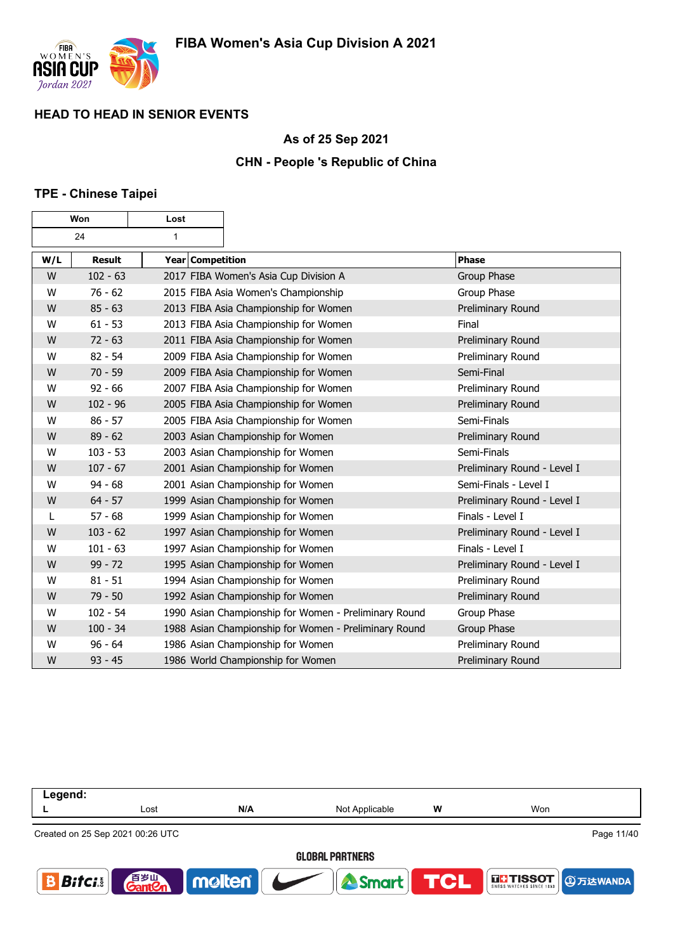

### **As of 25 Sep 2021**

## **CHN - People 's Republic of China**

### **TPE - Chinese Taipei**

| Won |               | Lost             |                                                       |                             |
|-----|---------------|------------------|-------------------------------------------------------|-----------------------------|
|     | 24            | $\mathbf{1}$     |                                                       |                             |
| W/L | <b>Result</b> | Year Competition |                                                       | <b>Phase</b>                |
| W   | $102 - 63$    |                  | 2017 FIBA Women's Asia Cup Division A                 | <b>Group Phase</b>          |
| W   | $76 - 62$     |                  | 2015 FIBA Asia Women's Championship                   | Group Phase                 |
| W   | $85 - 63$     |                  | 2013 FIBA Asia Championship for Women                 | Preliminary Round           |
| W   | $61 - 53$     |                  | 2013 FIBA Asia Championship for Women                 | Final                       |
| W   | $72 - 63$     |                  | 2011 FIBA Asia Championship for Women                 | Preliminary Round           |
| W   | $82 - 54$     |                  | 2009 FIBA Asia Championship for Women                 | Preliminary Round           |
| W   | $70 - 59$     |                  | 2009 FIBA Asia Championship for Women                 | Semi-Final                  |
| W   | $92 - 66$     |                  | 2007 FIBA Asia Championship for Women                 | Preliminary Round           |
| W   | $102 - 96$    |                  | 2005 FIBA Asia Championship for Women                 | Preliminary Round           |
| W   | $86 - 57$     |                  | 2005 FIBA Asia Championship for Women                 | Semi-Finals                 |
| W   | $89 - 62$     |                  | 2003 Asian Championship for Women                     | Preliminary Round           |
| W   | $103 - 53$    |                  | 2003 Asian Championship for Women                     | Semi-Finals                 |
| W   | $107 - 67$    |                  | 2001 Asian Championship for Women                     | Preliminary Round - Level I |
| W   | $94 - 68$     |                  | 2001 Asian Championship for Women                     | Semi-Finals - Level I       |
| W   | $64 - 57$     |                  | 1999 Asian Championship for Women                     | Preliminary Round - Level I |
| L   | $57 - 68$     |                  | 1999 Asian Championship for Women                     | Finals - Level I            |
| W   | $103 - 62$    |                  | 1997 Asian Championship for Women                     | Preliminary Round - Level I |
| W   | $101 - 63$    |                  | 1997 Asian Championship for Women                     | Finals - Level I            |
| W   | $99 - 72$     |                  | 1995 Asian Championship for Women                     | Preliminary Round - Level I |
| W   | $81 - 51$     |                  | 1994 Asian Championship for Women                     | Preliminary Round           |
| W   | $79 - 50$     |                  | 1992 Asian Championship for Women                     | Preliminary Round           |
| W   | $102 - 54$    |                  | 1990 Asian Championship for Women - Preliminary Round | Group Phase                 |
| W   | $100 - 34$    |                  | 1988 Asian Championship for Women - Preliminary Round | Group Phase                 |
| W   | $96 - 64$     |                  | 1986 Asian Championship for Women                     | Preliminary Round           |
| W   | $93 - 45$     |                  | 1986 World Championship for Women                     | <b>Preliminary Round</b>    |

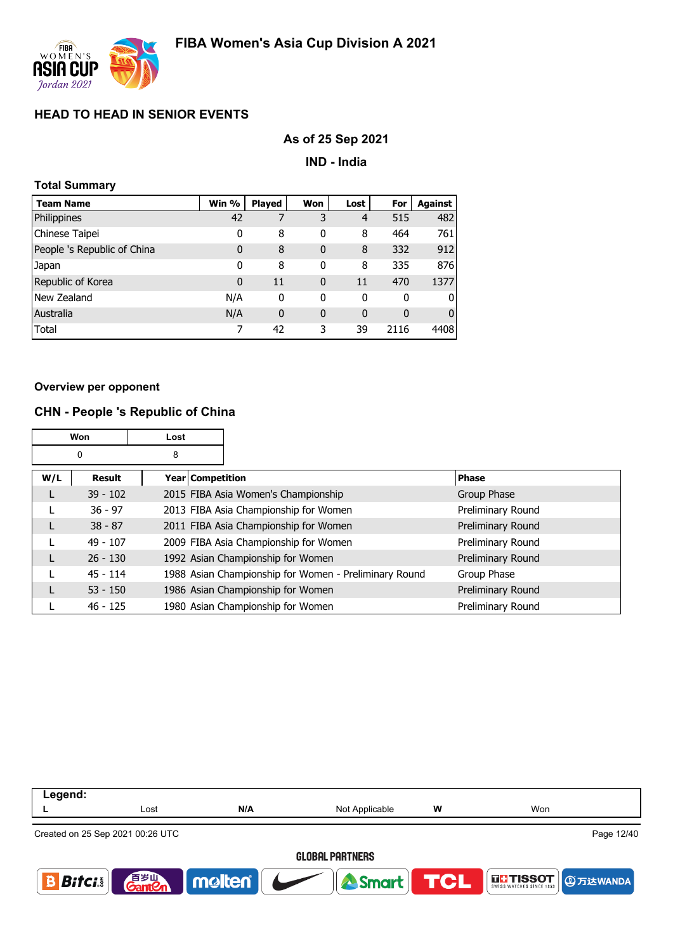

### **As of 25 Sep 2021**

**IND - India**

| <b>Total Summary</b>        |       |               |              |                |      |                |  |
|-----------------------------|-------|---------------|--------------|----------------|------|----------------|--|
| <b>Team Name</b>            | Win % | <b>Played</b> | Won          | Lost           | For  | <b>Against</b> |  |
| Philippines                 | 42    | 7             | 3            | $\overline{4}$ | 515  | 482            |  |
| Chinese Taipei              | 0     | 8             | 0            | 8              | 464  | 761            |  |
| People 's Republic of China | 0     | 8             | $\mathbf{0}$ | 8              | 332  | 912            |  |
| Japan                       | 0     | 8             | 0            | 8              | 335  | 876            |  |
| Republic of Korea           | 0     | 11            | $\mathbf{0}$ | 11             | 470  | 1377           |  |
| New Zealand                 | N/A   | 0             | 0            | 0              | 0    | O              |  |
| Australia                   | N/A   | 0             | 0            | 0              | 0    | 0              |  |
| Total                       |       | 42            | 3            | 39             | 2116 | 4408           |  |

#### **Overview per opponent**

### **CHN - People 's Republic of China**

|     | Won        | Lost               |                                                       |                   |
|-----|------------|--------------------|-------------------------------------------------------|-------------------|
|     | 0          | 8                  |                                                       |                   |
| W/L | Result     | Year   Competition |                                                       | <b>Phase</b>      |
|     | $39 - 102$ |                    | 2015 FIBA Asia Women's Championship                   | Group Phase       |
|     | $36 - 97$  |                    | 2013 FIBA Asia Championship for Women                 | Preliminary Round |
|     | $38 - 87$  |                    | 2011 FIBA Asia Championship for Women                 | Preliminary Round |
|     | $49 - 107$ |                    | 2009 FIBA Asia Championship for Women                 | Preliminary Round |
|     | $26 - 130$ |                    | 1992 Asian Championship for Women                     | Preliminary Round |
|     | $45 - 114$ |                    | 1988 Asian Championship for Women - Preliminary Round | Group Phase       |
|     | $53 - 150$ |                    | 1986 Asian Championship for Women                     | Preliminary Round |
|     | $46 - 125$ |                    | 1980 Asian Championship for Women                     | Preliminary Round |

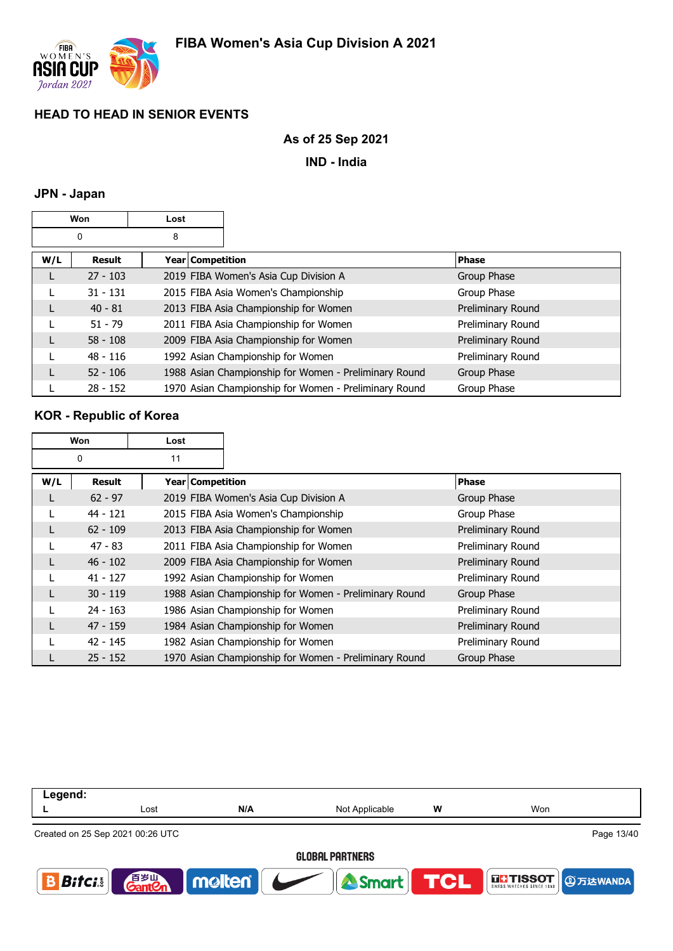

### **As of 25 Sep 2021**

**IND - India**

### **JPN - Japan**

| Won |            | Lost               |                                                       |                   |
|-----|------------|--------------------|-------------------------------------------------------|-------------------|
|     | 0          | 8                  |                                                       |                   |
| W/L | Result     | Year   Competition |                                                       | <b>Phase</b>      |
|     | $27 - 103$ |                    | 2019 FIBA Women's Asia Cup Division A                 | Group Phase       |
|     | $31 - 131$ |                    | 2015 FIBA Asia Women's Championship                   | Group Phase       |
|     | $40 - 81$  |                    | 2013 FIBA Asia Championship for Women                 | Preliminary Round |
|     | $51 - 79$  |                    | 2011 FIBA Asia Championship for Women                 | Preliminary Round |
|     | $58 - 108$ |                    | 2009 FIBA Asia Championship for Women                 | Preliminary Round |
|     | $48 - 116$ |                    | 1992 Asian Championship for Women                     | Preliminary Round |
|     | $52 - 106$ |                    | 1988 Asian Championship for Women - Preliminary Round | Group Phase       |
|     | $28 - 152$ |                    | 1970 Asian Championship for Women - Preliminary Round | Group Phase       |

## **KOR - Republic of Korea**

| Won |               | Lost             |                                                       |                   |
|-----|---------------|------------------|-------------------------------------------------------|-------------------|
|     | 0             | 11               |                                                       |                   |
| W/L | <b>Result</b> | Year Competition |                                                       | <b>Phase</b>      |
|     | $62 - 97$     |                  | 2019 FIBA Women's Asia Cup Division A                 | Group Phase       |
|     | $44 - 121$    |                  | 2015 FIBA Asia Women's Championship                   | Group Phase       |
|     | $62 - 109$    |                  | 2013 FIBA Asia Championship for Women                 | Preliminary Round |
|     | $47 - 83$     |                  | 2011 FIBA Asia Championship for Women                 | Preliminary Round |
|     | $46 - 102$    |                  | 2009 FIBA Asia Championship for Women                 | Preliminary Round |
|     | $41 - 127$    |                  | 1992 Asian Championship for Women                     | Preliminary Round |
| L   | $30 - 119$    |                  | 1988 Asian Championship for Women - Preliminary Round | Group Phase       |
|     | $24 - 163$    |                  | 1986 Asian Championship for Women                     | Preliminary Round |
|     | $47 - 159$    |                  | 1984 Asian Championship for Women                     | Preliminary Round |
|     | $42 - 145$    |                  | 1982 Asian Championship for Women                     | Preliminary Round |
|     | $25 - 152$    |                  | 1970 Asian Championship for Women - Preliminary Round | Group Phase       |

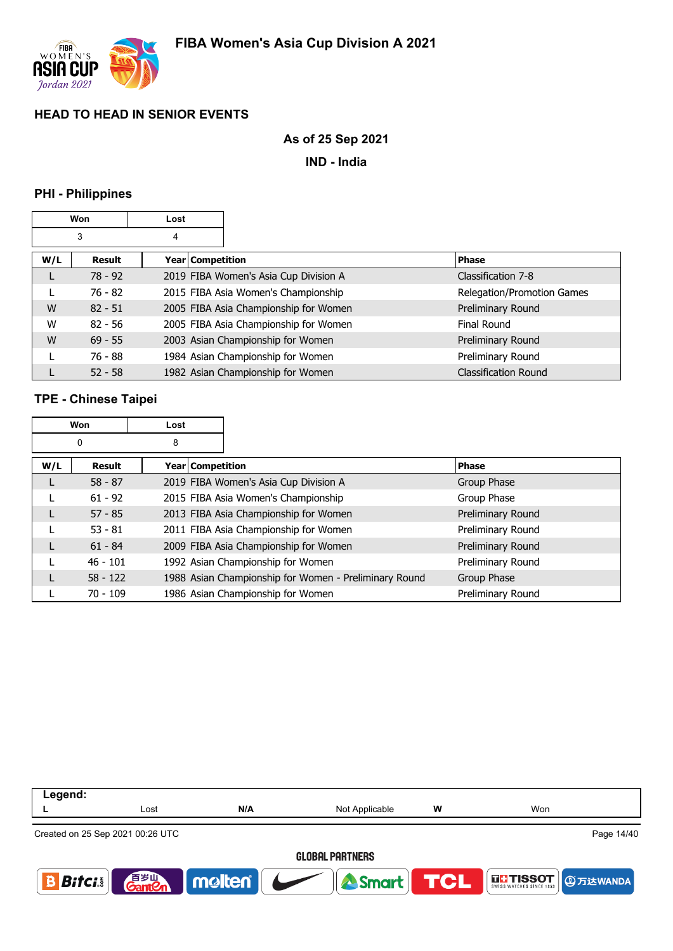

### **As of 25 Sep 2021**

**IND - India**

### **PHI - Philippines**

|     | Won       | Lost |                  |                                       |                             |
|-----|-----------|------|------------------|---------------------------------------|-----------------------------|
|     | 3         | 4    |                  |                                       |                             |
| W/L | Result    |      | Year Competition |                                       | <b>Phase</b>                |
|     | $78 - 92$ |      |                  | 2019 FIBA Women's Asia Cup Division A | Classification 7-8          |
|     | 76 - 82   |      |                  | 2015 FIBA Asia Women's Championship   | Relegation/Promotion Games  |
| W   | $82 - 51$ |      |                  | 2005 FIBA Asia Championship for Women | Preliminary Round           |
| W   | $82 - 56$ |      |                  | 2005 FIBA Asia Championship for Women | Final Round                 |
| W   | $69 - 55$ |      |                  | 2003 Asian Championship for Women     | Preliminary Round           |
|     | 76 - 88   |      |                  | 1984 Asian Championship for Women     | Preliminary Round           |
|     | $52 - 58$ |      |                  | 1982 Asian Championship for Women     | <b>Classification Round</b> |

## **TPE - Chinese Taipei**

|     | <b>Won</b> | Lost             |                                                       |                   |
|-----|------------|------------------|-------------------------------------------------------|-------------------|
|     | 0          | 8                |                                                       |                   |
| W/L | Result     | Year Competition |                                                       | <b>Phase</b>      |
| L   | $58 - 87$  |                  | 2019 FIBA Women's Asia Cup Division A                 | Group Phase       |
|     | $61 - 92$  |                  | 2015 FIBA Asia Women's Championship                   | Group Phase       |
| L   | $57 - 85$  |                  | 2013 FIBA Asia Championship for Women                 | Preliminary Round |
|     | $53 - 81$  |                  | 2011 FIBA Asia Championship for Women                 | Preliminary Round |
| L   | $61 - 84$  |                  | 2009 FIBA Asia Championship for Women                 | Preliminary Round |
|     | $46 - 101$ |                  | 1992 Asian Championship for Women                     | Preliminary Round |
|     | $58 - 122$ |                  | 1988 Asian Championship for Women - Preliminary Round | Group Phase       |
|     | $70 - 109$ |                  | 1986 Asian Championship for Women                     | Preliminary Round |

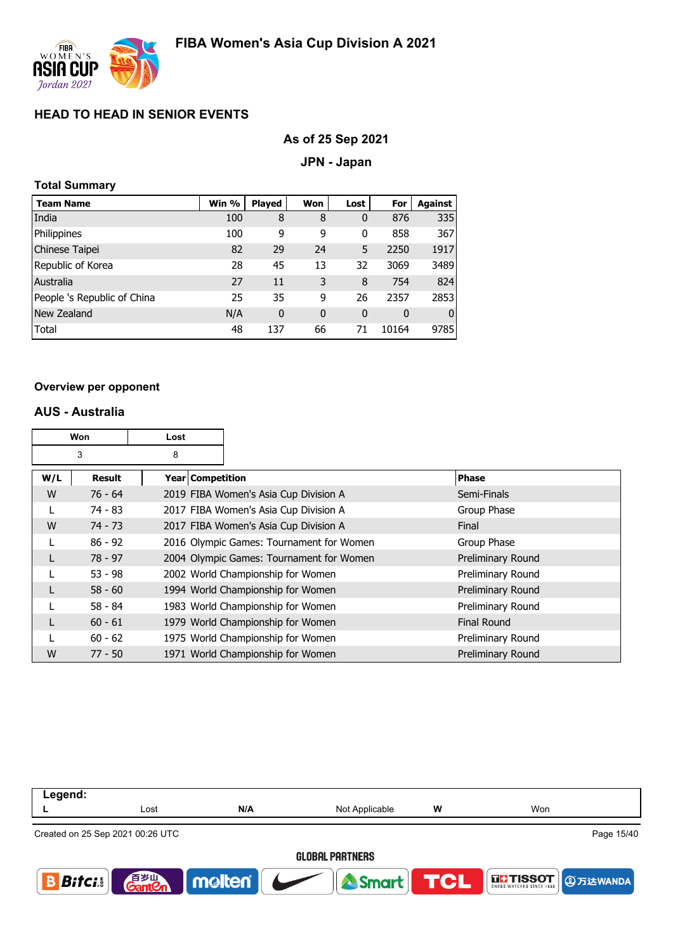

### **As of 25 Sep 2021**

### **JPN - Japan**

### **Total Summary**

| <b>Team Name</b>            | Win % | <b>Played</b> | Won         | Lost         | For   | Against      |
|-----------------------------|-------|---------------|-------------|--------------|-------|--------------|
| India                       | 100   | 8             | 8           | 0            | 876   | 335          |
| Philippines                 | 100   | 9             | 9           | 0            | 858   | 367          |
| Chinese Taipei              | 82    | 29            | 24          | 5            | 2250  | 1917         |
| Republic of Korea           | 28    | 45            | 13          | 32           | 3069  | 3489         |
| Australia                   | 27    | 11            | 3           | 8            | 754   | 824          |
| People 's Republic of China | 25    | 35            | 9           | 26           | 2357  | 2853         |
| New Zealand                 | N/A   | $\mathbf 0$   | $\mathbf 0$ | $\mathbf{0}$ | 0     | $\mathbf{0}$ |
| Total                       | 48    | 137           | 66          | 71           | 10164 | 9785         |

#### **Overview per opponent**

### **AUS - Australia**

| Won |               | Lost               |                                          |                    |
|-----|---------------|--------------------|------------------------------------------|--------------------|
|     | 3             | 8                  |                                          |                    |
| W/L | <b>Result</b> | Year   Competition |                                          | <b>Phase</b>       |
| W   | $76 - 64$     |                    | 2019 FIBA Women's Asia Cup Division A    | Semi-Finals        |
|     | 74 - 83       |                    | 2017 FIBA Women's Asia Cup Division A    | Group Phase        |
| W   | $74 - 73$     |                    | 2017 FIBA Women's Asia Cup Division A    | Final              |
|     | $86 - 92$     |                    | 2016 Olympic Games: Tournament for Women | Group Phase        |
|     | $78 - 97$     |                    | 2004 Olympic Games: Tournament for Women | Preliminary Round  |
|     | $53 - 98$     |                    | 2002 World Championship for Women        | Preliminary Round  |
|     | $58 - 60$     |                    | 1994 World Championship for Women        | Preliminary Round  |
|     | $58 - 84$     |                    | 1983 World Championship for Women        | Preliminary Round  |
|     | $60 - 61$     |                    | 1979 World Championship for Women        | <b>Final Round</b> |
|     | $60 - 62$     |                    | 1975 World Championship for Women        | Preliminary Round  |
| W   | $77 - 50$     |                    | 1971 World Championship for Women        | Preliminary Round  |

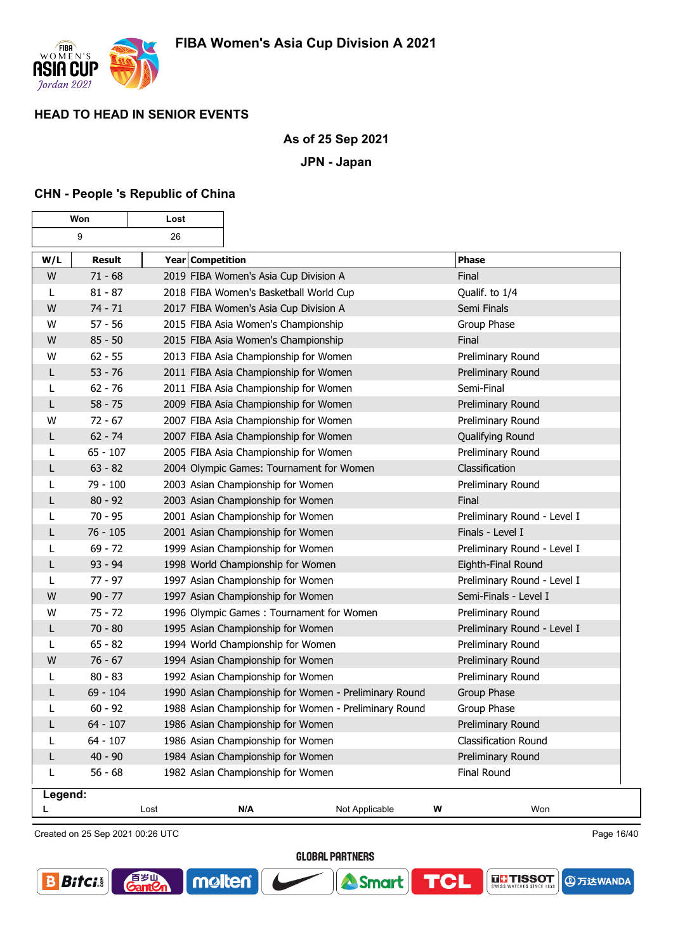

### **As of 25 Sep 2021**

### **JPN - Japan**

### **CHN - People 's Republic of China**

| Won          |               | Lost             |                                                       |                |   |                             |
|--------------|---------------|------------------|-------------------------------------------------------|----------------|---|-----------------------------|
|              | 9             | 26               |                                                       |                |   |                             |
| W/L          | <b>Result</b> | Year Competition |                                                       |                |   | <b>Phase</b>                |
| W            | $71 - 68$     |                  | 2019 FIBA Women's Asia Cup Division A                 |                |   | Final                       |
| L            | $81 - 87$     |                  | 2018 FIBA Women's Basketball World Cup                |                |   | Qualif. to 1/4              |
| W            | $74 - 71$     |                  | 2017 FIBA Women's Asia Cup Division A                 |                |   | Semi Finals                 |
| W            | $57 - 56$     |                  | 2015 FIBA Asia Women's Championship                   |                |   | Group Phase                 |
| W            | $85 - 50$     |                  | 2015 FIBA Asia Women's Championship                   |                |   | Final                       |
| W            | $62 - 55$     |                  | 2013 FIBA Asia Championship for Women                 |                |   | Preliminary Round           |
| L            | $53 - 76$     |                  | 2011 FIBA Asia Championship for Women                 |                |   | Preliminary Round           |
| L            | $62 - 76$     |                  | 2011 FIBA Asia Championship for Women                 |                |   | Semi-Final                  |
| $\mathsf{L}$ | $58 - 75$     |                  | 2009 FIBA Asia Championship for Women                 |                |   | Preliminary Round           |
| W            | $72 - 67$     |                  | 2007 FIBA Asia Championship for Women                 |                |   | Preliminary Round           |
| L            | $62 - 74$     |                  | 2007 FIBA Asia Championship for Women                 |                |   | Qualifying Round            |
| L            | $65 - 107$    |                  | 2005 FIBA Asia Championship for Women                 |                |   | Preliminary Round           |
| L            | $63 - 82$     |                  | 2004 Olympic Games: Tournament for Women              |                |   | Classification              |
| L            | 79 - 100      |                  | 2003 Asian Championship for Women                     |                |   | Preliminary Round           |
| L            | $80 - 92$     |                  | 2003 Asian Championship for Women                     |                |   | Final                       |
| L            | $70 - 95$     |                  | 2001 Asian Championship for Women                     |                |   | Preliminary Round - Level I |
| L            | $76 - 105$    |                  | 2001 Asian Championship for Women                     |                |   | Finals - Level I            |
| L            | $69 - 72$     |                  | 1999 Asian Championship for Women                     |                |   | Preliminary Round - Level I |
| L            | $93 - 94$     |                  | 1998 World Championship for Women                     |                |   | Eighth-Final Round          |
| L            | $77 - 97$     |                  | 1997 Asian Championship for Women                     |                |   | Preliminary Round - Level I |
| W            | $90 - 77$     |                  | 1997 Asian Championship for Women                     |                |   | Semi-Finals - Level I       |
| W            | $75 - 72$     |                  | 1996 Olympic Games: Tournament for Women              |                |   | Preliminary Round           |
| $\mathsf{L}$ | $70 - 80$     |                  | 1995 Asian Championship for Women                     |                |   | Preliminary Round - Level I |
| L            | $65 - 82$     |                  | 1994 World Championship for Women                     |                |   | Preliminary Round           |
| W            | $76 - 67$     |                  | 1994 Asian Championship for Women                     |                |   | Preliminary Round           |
| L            | $80 - 83$     |                  | 1992 Asian Championship for Women                     |                |   | Preliminary Round           |
| L            | $69 - 104$    |                  | 1990 Asian Championship for Women - Preliminary Round |                |   | Group Phase                 |
| L            | $60 - 92$     |                  | 1988 Asian Championship for Women - Preliminary Round |                |   | Group Phase                 |
| L            | $64 - 107$    |                  | 1986 Asian Championship for Women                     |                |   | Preliminary Round           |
|              | $64 - 107$    |                  | 1986 Asian Championship for Women                     |                |   | Classification Round        |
| L            | $40 - 90$     |                  | 1984 Asian Championship for Women                     |                |   | Preliminary Round           |
| L            | $56 - 68$     |                  | 1982 Asian Championship for Women                     |                |   | <b>Final Round</b>          |
| Legend:      |               |                  |                                                       |                |   |                             |
| L            |               | Lost             | N/A                                                   | Not Applicable | W | Won                         |

Created on 25 Sep 2021 00:26 UTC

百岁叫

 $\overline{\text{ant}}$ 

Page 16/40

**④万达WANDA** 

**THE TISSOT** 

**GLOBAL PARTNERS** 

Smart

TCL

molten®

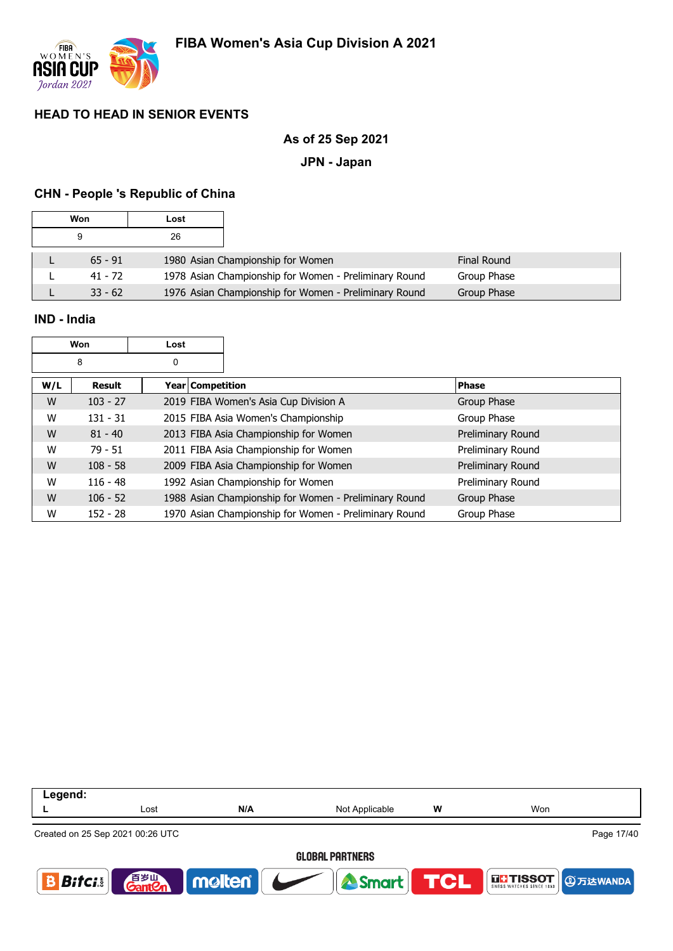

### **As of 25 Sep 2021**

### **JPN - Japan**

## **CHN - People 's Republic of China**

| Won       | Lost |                                                       |                    |
|-----------|------|-------------------------------------------------------|--------------------|
| 9         | 26   |                                                       |                    |
| $65 - 91$ |      | 1980 Asian Championship for Women                     | <b>Final Round</b> |
| $41 - 72$ |      | 1978 Asian Championship for Women - Preliminary Round | Group Phase        |
| $33 - 62$ |      | 1976 Asian Championship for Women - Preliminary Round | <b>Group Phase</b> |

## **IND - India**

| Won | Lost |
|-----|------|
|     |      |

| W/L | Result     | Year Competition                                      | <b>Phase</b>      |
|-----|------------|-------------------------------------------------------|-------------------|
| W   | $103 - 27$ | 2019 FIBA Women's Asia Cup Division A                 | Group Phase       |
| W   | $131 - 31$ | 2015 FIBA Asia Women's Championship                   | Group Phase       |
| W   | $81 - 40$  | 2013 FIBA Asia Championship for Women                 | Preliminary Round |
| W   | $79 - 51$  | 2011 FIBA Asia Championship for Women                 | Preliminary Round |
| W   | $108 - 58$ | 2009 FIBA Asia Championship for Women                 | Preliminary Round |
| W   | $116 - 48$ | 1992 Asian Championship for Women                     | Preliminary Round |
| W   | $106 - 52$ | 1988 Asian Championship for Women - Preliminary Round | Group Phase       |
| W   | $152 - 28$ | 1970 Asian Championship for Women - Preliminary Round | Group Phase       |

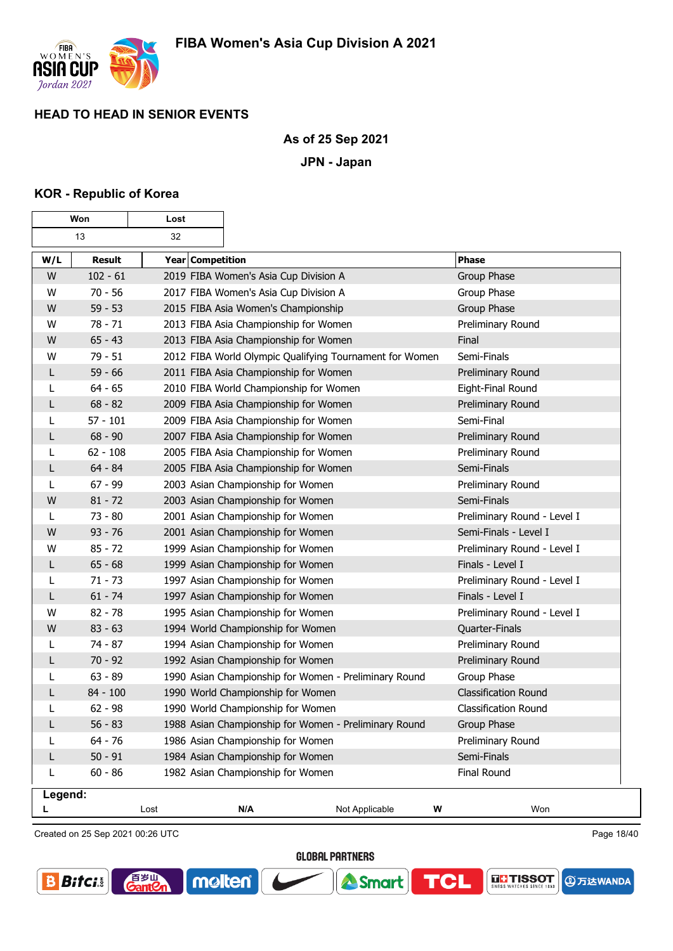

### **As of 25 Sep 2021**

**JPN - Japan**

### **KOR - Republic of Korea**

| Won     |               | Lost             |                                                         |                |                             |     |
|---------|---------------|------------------|---------------------------------------------------------|----------------|-----------------------------|-----|
|         | 13            | 32               |                                                         |                |                             |     |
| W/L     | <b>Result</b> | Year Competition |                                                         |                | <b>Phase</b>                |     |
| W       | $102 - 61$    |                  | 2019 FIBA Women's Asia Cup Division A                   |                | Group Phase                 |     |
| W       | $70 - 56$     |                  | 2017 FIBA Women's Asia Cup Division A                   |                | Group Phase                 |     |
| W       | $59 - 53$     |                  | 2015 FIBA Asia Women's Championship                     |                | Group Phase                 |     |
| W       | $78 - 71$     |                  | 2013 FIBA Asia Championship for Women                   |                | Preliminary Round           |     |
| W       | $65 - 43$     |                  | 2013 FIBA Asia Championship for Women                   |                | Final                       |     |
| W       | $79 - 51$     |                  | 2012 FIBA World Olympic Qualifying Tournament for Women |                | Semi-Finals                 |     |
| L       | $59 - 66$     |                  | 2011 FIBA Asia Championship for Women                   |                | Preliminary Round           |     |
| L       | $64 - 65$     |                  | 2010 FIBA World Championship for Women                  |                | Eight-Final Round           |     |
| L       | $68 - 82$     |                  | 2009 FIBA Asia Championship for Women                   |                | Preliminary Round           |     |
| L       | $57 - 101$    |                  | 2009 FIBA Asia Championship for Women                   |                | Semi-Final                  |     |
| L       | $68 - 90$     |                  | 2007 FIBA Asia Championship for Women                   |                | Preliminary Round           |     |
| L       | $62 - 108$    |                  | 2005 FIBA Asia Championship for Women                   |                | Preliminary Round           |     |
| L       | $64 - 84$     |                  | 2005 FIBA Asia Championship for Women                   |                | Semi-Finals                 |     |
| L       | $67 - 99$     |                  | 2003 Asian Championship for Women                       |                | Preliminary Round           |     |
| W       | $81 - 72$     |                  | 2003 Asian Championship for Women                       |                | Semi-Finals                 |     |
| L       | $73 - 80$     |                  | 2001 Asian Championship for Women                       |                | Preliminary Round - Level I |     |
| W       | $93 - 76$     |                  | 2001 Asian Championship for Women                       |                | Semi-Finals - Level I       |     |
| W       | $85 - 72$     |                  | 1999 Asian Championship for Women                       |                | Preliminary Round - Level I |     |
| L       | $65 - 68$     |                  | 1999 Asian Championship for Women                       |                | Finals - Level I            |     |
| L       | $71 - 73$     |                  | 1997 Asian Championship for Women                       |                | Preliminary Round - Level I |     |
| L       | $61 - 74$     |                  | 1997 Asian Championship for Women                       |                | Finals - Level I            |     |
| W       | $82 - 78$     |                  | 1995 Asian Championship for Women                       |                | Preliminary Round - Level I |     |
| W       | $83 - 63$     |                  | 1994 World Championship for Women                       |                | Quarter-Finals              |     |
| L       | $74 - 87$     |                  | 1994 Asian Championship for Women                       |                | Preliminary Round           |     |
| L       | $70 - 92$     |                  | 1992 Asian Championship for Women                       |                | Preliminary Round           |     |
| L       | $63 - 89$     |                  | 1990 Asian Championship for Women - Preliminary Round   |                | Group Phase                 |     |
| L       | 84 - 100      |                  | 1990 World Championship for Women                       |                | <b>Classification Round</b> |     |
| L       | $62 - 98$     |                  | 1990 World Championship for Women                       |                | <b>Classification Round</b> |     |
| L       | $56 - 83$     |                  | 1988 Asian Championship for Women - Preliminary Round   |                | Group Phase                 |     |
|         | $64 - 76$     |                  | 1986 Asian Championship for Women                       |                | Preliminary Round           |     |
| L       | $50 - 91$     |                  | 1984 Asian Championship for Women                       |                | Semi-Finals                 |     |
| L       | $60 - 86$     |                  | 1982 Asian Championship for Women                       |                | Final Round                 |     |
| Legend: |               |                  |                                                         |                |                             |     |
|         |               | Lost             | N/A                                                     | Not Applicable | W                           | Won |

Created on 25 Sep 2021 00:26 UTC

音<sub>岁皿</sub><br>CantCr

molten®

Page 18/40

**④万达WANDA** 

**THE TISSOT** 

**GLOBAL PARTNERS** 

**A** Smart

**TCL** 

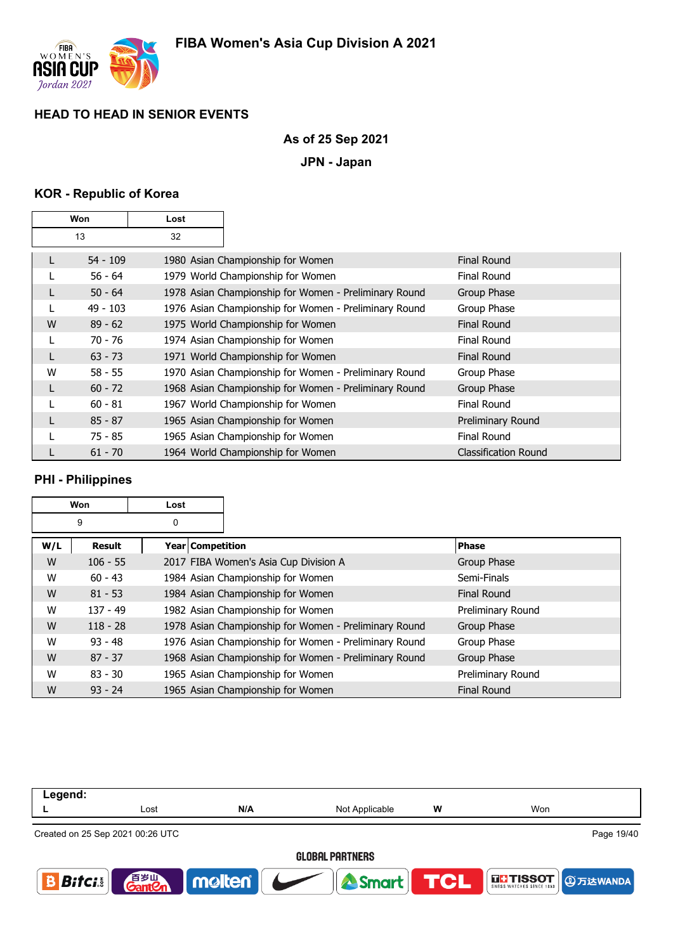

# **As of 25 Sep 2021**

**JPN - Japan**

# **KOR - Republic of Korea**

| Won |            | Lost |                                                       |                             |
|-----|------------|------|-------------------------------------------------------|-----------------------------|
|     | 13         | 32   |                                                       |                             |
|     | 54 - 109   |      | 1980 Asian Championship for Women                     | <b>Final Round</b>          |
|     | $56 - 64$  |      | 1979 World Championship for Women                     | Final Round                 |
|     | $50 - 64$  |      | 1978 Asian Championship for Women - Preliminary Round | Group Phase                 |
|     | $49 - 103$ |      | 1976 Asian Championship for Women - Preliminary Round | Group Phase                 |
| W   | $89 - 62$  |      | 1975 World Championship for Women                     | <b>Final Round</b>          |
|     | 70 - 76    |      | 1974 Asian Championship for Women                     | <b>Final Round</b>          |
|     | $63 - 73$  |      | 1971 World Championship for Women                     | <b>Final Round</b>          |
| W   | $58 - 55$  |      | 1970 Asian Championship for Women - Preliminary Round | Group Phase                 |
|     | $60 - 72$  |      | 1968 Asian Championship for Women - Preliminary Round | Group Phase                 |
|     | $60 - 81$  |      | 1967 World Championship for Women                     | Final Round                 |
|     | $85 - 87$  |      | 1965 Asian Championship for Women                     | Preliminary Round           |
|     | $75 - 85$  |      | 1965 Asian Championship for Women                     | <b>Final Round</b>          |
|     | $61 - 70$  |      | 1964 World Championship for Women                     | <b>Classification Round</b> |

# **PHI - Philippines**

|     | Won        | Lost |                                                       |                    |
|-----|------------|------|-------------------------------------------------------|--------------------|
|     | 9          | 0    |                                                       |                    |
| W/L | Result     |      | Year   Competition                                    | <b>Phase</b>       |
| W   | $106 - 55$ |      | 2017 FIBA Women's Asia Cup Division A                 | Group Phase        |
| W   | $60 - 43$  |      | 1984 Asian Championship for Women                     | Semi-Finals        |
| W   | $81 - 53$  |      | 1984 Asian Championship for Women                     | Final Round        |
| W   | $137 - 49$ |      | 1982 Asian Championship for Women                     | Preliminary Round  |
| W   | $118 - 28$ |      | 1978 Asian Championship for Women - Preliminary Round | Group Phase        |
| W   | $93 - 48$  |      | 1976 Asian Championship for Women - Preliminary Round | Group Phase        |
| W   | $87 - 37$  |      | 1968 Asian Championship for Women - Preliminary Round | Group Phase        |
| W   | $83 - 30$  |      | 1965 Asian Championship for Women                     | Preliminary Round  |
| W   | $93 - 24$  |      | 1965 Asian Championship for Women                     | <b>Final Round</b> |

| Lost                                            | N/A | Not Applicable | W | Won                                   |  |  |
|-------------------------------------------------|-----|----------------|---|---------------------------------------|--|--|
| Created on 25 Sep 2021 00:26 UTC                |     |                |   | Page 19/40                            |  |  |
| <b>GLOBAL PARTNERS</b>                          |     |                |   |                                       |  |  |
| <b>GantOn</b><br>$\mathbf{B}$ ifci $\mathbf{S}$ |     |                |   | THESSOT <b>DEPARTMENT DESCRIPTION</b> |  |  |
|                                                 |     | molten         |   | <b>TCL</b><br>Smart                   |  |  |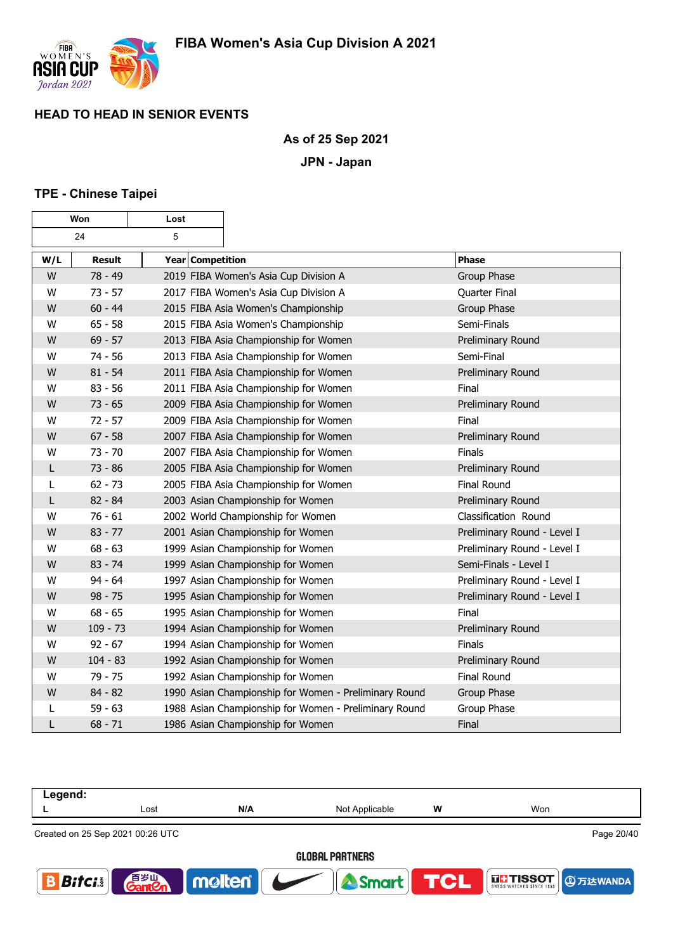

### **As of 25 Sep 2021**

**JPN - Japan**

### **TPE - Chinese Taipei**

| Won |               | Lost             |                                                       |                             |
|-----|---------------|------------------|-------------------------------------------------------|-----------------------------|
|     | 24            | 5                |                                                       |                             |
| W/L | <b>Result</b> | Year Competition |                                                       | <b>Phase</b>                |
| W   | 78 - 49       |                  | 2019 FIBA Women's Asia Cup Division A                 | Group Phase                 |
| W   | $73 - 57$     |                  | 2017 FIBA Women's Asia Cup Division A                 | Quarter Final               |
| W   | $60 - 44$     |                  | 2015 FIBA Asia Women's Championship                   | Group Phase                 |
| W   | $65 - 58$     |                  | 2015 FIBA Asia Women's Championship                   | Semi-Finals                 |
| W   | $69 - 57$     |                  | 2013 FIBA Asia Championship for Women                 | Preliminary Round           |
| W   | $74 - 56$     |                  | 2013 FIBA Asia Championship for Women                 | Semi-Final                  |
| W   | $81 - 54$     |                  | 2011 FIBA Asia Championship for Women                 | Preliminary Round           |
| W   | $83 - 56$     |                  | 2011 FIBA Asia Championship for Women                 | Final                       |
| W   | $73 - 65$     |                  | 2009 FIBA Asia Championship for Women                 | Preliminary Round           |
| W   | $72 - 57$     |                  | 2009 FIBA Asia Championship for Women                 | Final                       |
| W   | $67 - 58$     |                  | 2007 FIBA Asia Championship for Women                 | Preliminary Round           |
| W   | $73 - 70$     |                  | 2007 FIBA Asia Championship for Women                 | Finals                      |
| L   | $73 - 86$     |                  | 2005 FIBA Asia Championship for Women                 | Preliminary Round           |
| L   | $62 - 73$     |                  | 2005 FIBA Asia Championship for Women                 | Final Round                 |
| L   | $82 - 84$     |                  | 2003 Asian Championship for Women                     | Preliminary Round           |
| W   | $76 - 61$     |                  | 2002 World Championship for Women                     | Classification Round        |
| W   | $83 - 77$     |                  | 2001 Asian Championship for Women                     | Preliminary Round - Level I |
| W   | $68 - 63$     |                  | 1999 Asian Championship for Women                     | Preliminary Round - Level I |
| W   | $83 - 74$     |                  | 1999 Asian Championship for Women                     | Semi-Finals - Level I       |
| W   | $94 - 64$     |                  | 1997 Asian Championship for Women                     | Preliminary Round - Level I |
| W   | $98 - 75$     |                  | 1995 Asian Championship for Women                     | Preliminary Round - Level I |
| W   | $68 - 65$     |                  | 1995 Asian Championship for Women                     | Final                       |
| W   | $109 - 73$    |                  | 1994 Asian Championship for Women                     | Preliminary Round           |
| W   | $92 - 67$     |                  | 1994 Asian Championship for Women                     | Finals                      |
| W   | $104 - 83$    |                  | 1992 Asian Championship for Women                     | Preliminary Round           |
| W   | $79 - 75$     |                  | 1992 Asian Championship for Women                     | <b>Final Round</b>          |
| W   | $84 - 82$     |                  | 1990 Asian Championship for Women - Preliminary Round | Group Phase                 |
| L   | $59 - 63$     |                  | 1988 Asian Championship for Women - Preliminary Round | Group Phase                 |
| L   | $68 - 71$     |                  | 1986 Asian Championship for Women                     | Final                       |

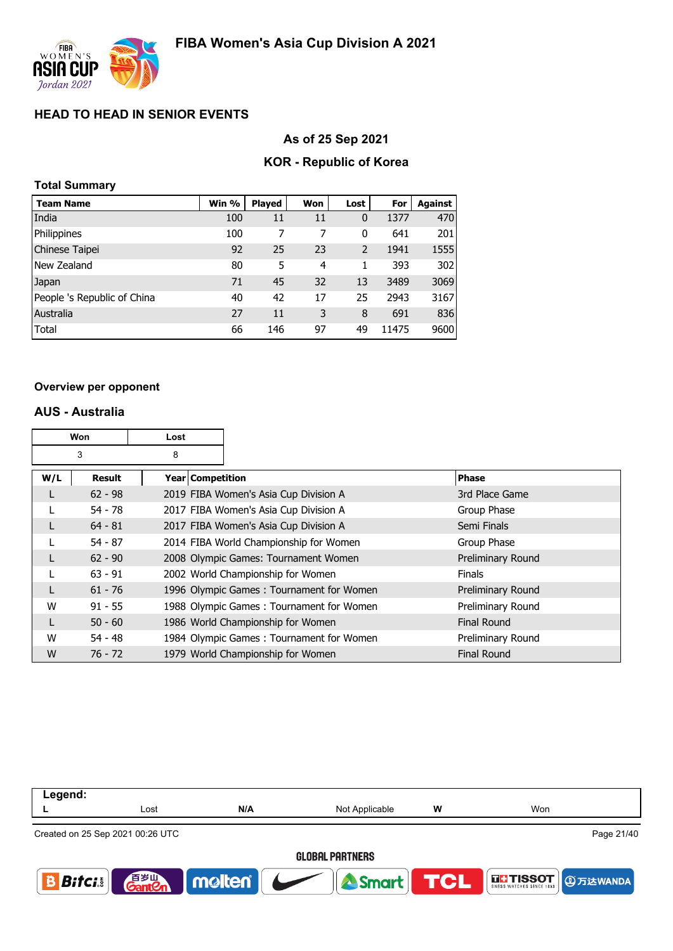

### **As of 25 Sep 2021**

### **KOR - Republic of Korea**

## **Total Summary**

| <b>Team Name</b>            | Win % | <b>Played</b> | Won | Lost     | For   | <b>Against</b> |
|-----------------------------|-------|---------------|-----|----------|-------|----------------|
| India                       | 100   | 11            | 11  | $\bf{0}$ | 1377  | 470            |
| Philippines                 | 100   | 7             | 7   | 0        | 641   | 201            |
| Chinese Taipei              | 92    | 25            | 23  | 2        | 1941  | 1555           |
| New Zealand                 | 80    | 5             | 4   | 1        | 393   | 302            |
| Japan                       | 71    | 45            | 32  | 13       | 3489  | 3069           |
| People 's Republic of China | 40    | 42            | 17  | 25       | 2943  | 3167           |
| Australia                   | 27    | 11            | 3   | 8        | 691   | 836            |
| Total                       | 66    | 146           | 97  | 49       | 11475 | 9600           |

#### **Overview per opponent**

### **AUS - Australia**

|     | Won<br>Lost |                    |  |                                          |                    |
|-----|-------------|--------------------|--|------------------------------------------|--------------------|
|     | 3           | 8                  |  |                                          |                    |
| W/L | Result      | Year   Competition |  |                                          | <b>Phase</b>       |
|     | $62 - 98$   |                    |  | 2019 FIBA Women's Asia Cup Division A    | 3rd Place Game     |
|     | $54 - 78$   |                    |  | 2017 FIBA Women's Asia Cup Division A    | Group Phase        |
|     | $64 - 81$   |                    |  | 2017 FIBA Women's Asia Cup Division A    | Semi Finals        |
|     | $54 - 87$   |                    |  | 2014 FIBA World Championship for Women   | Group Phase        |
|     | $62 - 90$   |                    |  | 2008 Olympic Games: Tournament Women     | Preliminary Round  |
|     | $63 - 91$   |                    |  | 2002 World Championship for Women        | <b>Finals</b>      |
|     | $61 - 76$   |                    |  | 1996 Olympic Games: Tournament for Women | Preliminary Round  |
| W   | $91 - 55$   |                    |  | 1988 Olympic Games: Tournament for Women | Preliminary Round  |
|     | $50 - 60$   |                    |  | 1986 World Championship for Women        | <b>Final Round</b> |
| W   | $54 - 48$   |                    |  | 1984 Olympic Games: Tournament for Women | Preliminary Round  |
| W   | $76 - 72$   |                    |  | 1979 World Championship for Women        | <b>Final Round</b> |

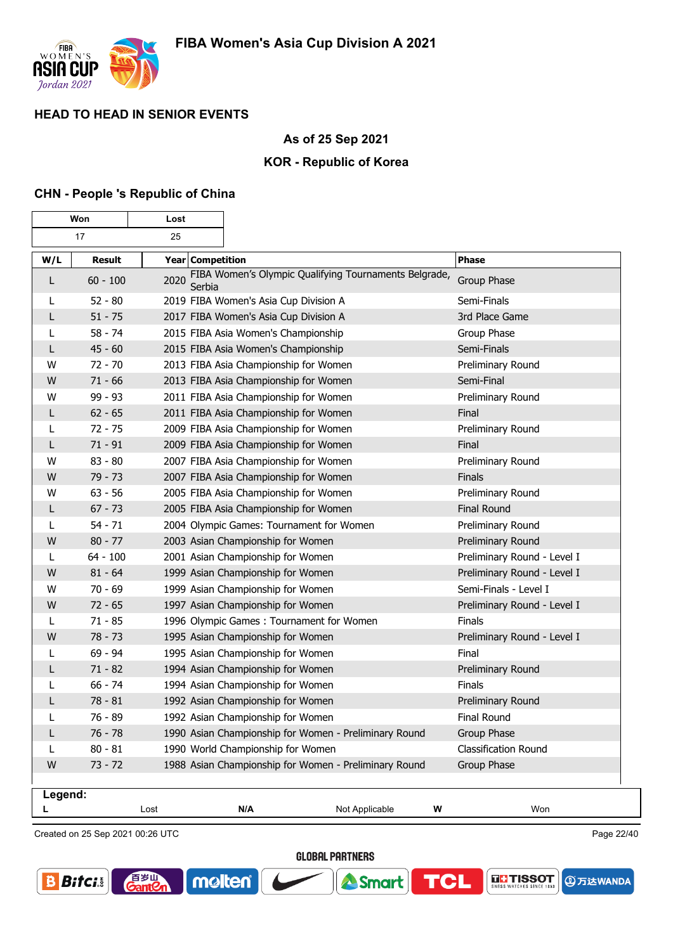

### **As of 25 Sep 2021**

### **KOR - Republic of Korea**

### **CHN - People 's Republic of China**

|         | Won<br>Lost   |                  |                                                       |                |                             |  |
|---------|---------------|------------------|-------------------------------------------------------|----------------|-----------------------------|--|
|         | 17<br>25      |                  |                                                       |                |                             |  |
| W/L     | <b>Result</b> | Year Competition |                                                       |                | <b>Phase</b>                |  |
| L       | $60 - 100$    | 2020<br>Serbia   | FIBA Women's Olympic Qualifying Tournaments Belgrade, |                | Group Phase                 |  |
|         | $52 - 80$     |                  | 2019 FIBA Women's Asia Cup Division A                 |                | Semi-Finals                 |  |
| L       | $51 - 75$     |                  | 2017 FIBA Women's Asia Cup Division A                 |                | 3rd Place Game              |  |
| L       | $58 - 74$     |                  | 2015 FIBA Asia Women's Championship                   |                | Group Phase                 |  |
| L       | $45 - 60$     |                  | 2015 FIBA Asia Women's Championship                   |                | Semi-Finals                 |  |
| W       | $72 - 70$     |                  | 2013 FIBA Asia Championship for Women                 |                | Preliminary Round           |  |
| W       | $71 - 66$     |                  | 2013 FIBA Asia Championship for Women                 |                | Semi-Final                  |  |
| W       | $99 - 93$     |                  | 2011 FIBA Asia Championship for Women                 |                | Preliminary Round           |  |
| L       | $62 - 65$     |                  | 2011 FIBA Asia Championship for Women                 |                | Final                       |  |
| L       | $72 - 75$     |                  | 2009 FIBA Asia Championship for Women                 |                | Preliminary Round           |  |
| L       | $71 - 91$     |                  | 2009 FIBA Asia Championship for Women                 |                | Final                       |  |
| W       | $83 - 80$     |                  | 2007 FIBA Asia Championship for Women                 |                | Preliminary Round           |  |
| W       | $79 - 73$     |                  | 2007 FIBA Asia Championship for Women                 |                | Finals                      |  |
| W       | $63 - 56$     |                  | 2005 FIBA Asia Championship for Women                 |                | Preliminary Round           |  |
| L       | $67 - 73$     |                  | 2005 FIBA Asia Championship for Women                 |                | <b>Final Round</b>          |  |
|         | $54 - 71$     |                  | 2004 Olympic Games: Tournament for Women              |                | Preliminary Round           |  |
| W       | $80 - 77$     |                  | 2003 Asian Championship for Women                     |                | Preliminary Round           |  |
| L       | $64 - 100$    |                  | 2001 Asian Championship for Women                     |                | Preliminary Round - Level I |  |
| W       | $81 - 64$     |                  | 1999 Asian Championship for Women                     |                | Preliminary Round - Level I |  |
| W       | $70 - 69$     |                  | 1999 Asian Championship for Women                     |                | Semi-Finals - Level I       |  |
| W       | $72 - 65$     |                  | 1997 Asian Championship for Women                     |                | Preliminary Round - Level I |  |
|         | $71 - 85$     |                  | 1996 Olympic Games: Tournament for Women              |                | Finals                      |  |
| W       | $78 - 73$     |                  | 1995 Asian Championship for Women                     |                | Preliminary Round - Level I |  |
|         | $69 - 94$     |                  | 1995 Asian Championship for Women                     |                | Final                       |  |
| L       | $71 - 82$     |                  | 1994 Asian Championship for Women                     |                | Preliminary Round           |  |
| L       | $66 - 74$     |                  | 1994 Asian Championship for Women                     |                | <b>Finals</b>               |  |
| L       | $78 - 81$     |                  | 1992 Asian Championship for Women                     |                | Preliminary Round           |  |
| L       | 76 - 89       |                  | 1992 Asian Championship for Women                     |                | Final Round                 |  |
| L       | $76 - 78$     |                  | 1990 Asian Championship for Women - Preliminary Round |                | Group Phase                 |  |
| L       | $80 - 81$     |                  | 1990 World Championship for Women                     |                | Classification Round        |  |
| W       | $73 - 72$     |                  | 1988 Asian Championship for Women - Preliminary Round |                | Group Phase                 |  |
| Legend: |               |                  |                                                       |                |                             |  |
|         |               | Lost             | N/A                                                   | Not Applicable | W<br>Won                    |  |

Created on 25 Sep 2021 00:26 UTC

百岁叫

 $\overline{\text{ant}}$ 

Page 22/40

**④万达WANDA** 

**THE TISSOT** 

**GLOBAL PARTNERS** 

Smart

TCL

molten®

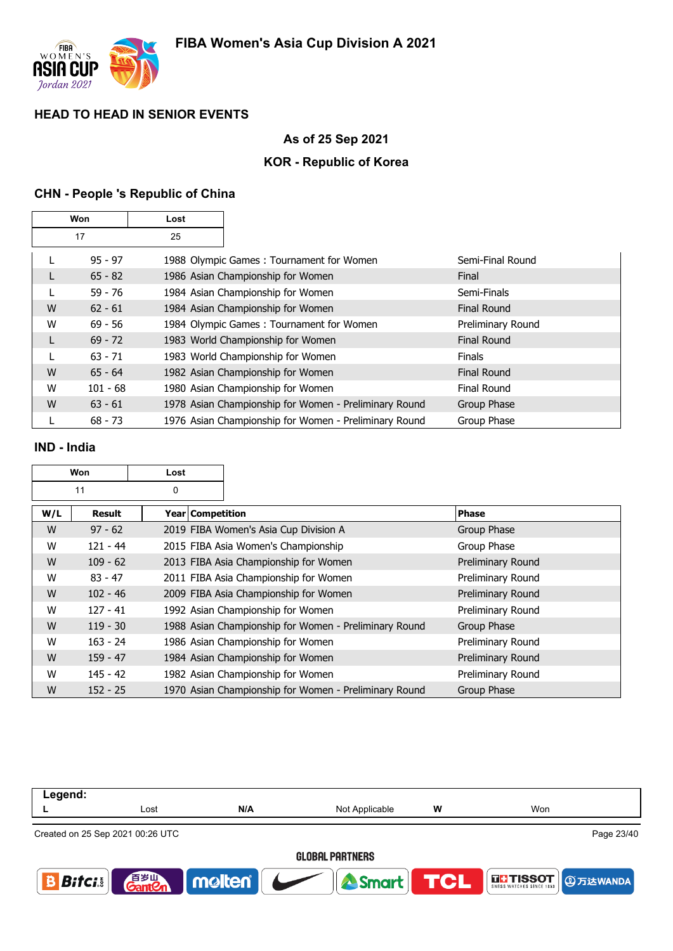

# **As of 25 Sep 2021**

# **KOR - Republic of Korea**

# **CHN - People 's Republic of China**

| Won<br>Lost |            |    |                                                       |                    |
|-------------|------------|----|-------------------------------------------------------|--------------------|
|             | 17         | 25 |                                                       |                    |
|             | $95 - 97$  |    | 1988 Olympic Games: Tournament for Women              | Semi-Final Round   |
|             | $65 - 82$  |    | 1986 Asian Championship for Women                     | Final              |
|             | $59 - 76$  |    | 1984 Asian Championship for Women                     | Semi-Finals        |
| W           | $62 - 61$  |    | 1984 Asian Championship for Women                     | <b>Final Round</b> |
| W           | $69 - 56$  |    | 1984 Olympic Games: Tournament for Women              | Preliminary Round  |
| L           | $69 - 72$  |    | 1983 World Championship for Women                     | <b>Final Round</b> |
|             | $63 - 71$  |    | 1983 World Championship for Women                     | <b>Finals</b>      |
| W           | $65 - 64$  |    | 1982 Asian Championship for Women                     | <b>Final Round</b> |
| W           | $101 - 68$ |    | 1980 Asian Championship for Women                     | Final Round        |
| W           | $63 - 61$  |    | 1978 Asian Championship for Women - Preliminary Round | Group Phase        |
|             | $68 - 73$  |    | 1976 Asian Championship for Women - Preliminary Round | Group Phase        |

#### **IND - India**

|     | <b>Won</b><br>Lost |                    |                                                       |                          |
|-----|--------------------|--------------------|-------------------------------------------------------|--------------------------|
|     | 11                 | 0                  |                                                       |                          |
| W/L | Result             | Year   Competition |                                                       | <b>Phase</b>             |
| W   | $97 - 62$          |                    | 2019 FIBA Women's Asia Cup Division A                 | Group Phase              |
| W   | $121 - 44$         |                    | 2015 FIBA Asia Women's Championship                   | Group Phase              |
| W   | $109 - 62$         |                    | 2013 FIBA Asia Championship for Women                 | <b>Preliminary Round</b> |
| W   | $83 - 47$          |                    | 2011 FIBA Asia Championship for Women                 | Preliminary Round        |
| W   | $102 - 46$         |                    | 2009 FIBA Asia Championship for Women                 | Preliminary Round        |
| W   | $127 - 41$         |                    | 1992 Asian Championship for Women                     | Preliminary Round        |
| W   | $119 - 30$         |                    | 1988 Asian Championship for Women - Preliminary Round | Group Phase              |
| W   | $163 - 24$         |                    | 1986 Asian Championship for Women                     | Preliminary Round        |
| W   | $159 - 47$         |                    | 1984 Asian Championship for Women                     | Preliminary Round        |
| W   | $145 - 42$         |                    | 1982 Asian Championship for Women                     | Preliminary Round        |
| W   | $152 - 25$         |                    | 1970 Asian Championship for Women - Preliminary Round | Group Phase              |

| Legend:                     |                                    |        |                |            |                          |  |  |
|-----------------------------|------------------------------------|--------|----------------|------------|--------------------------|--|--|
|                             | Lost                               | N/A    | Not Applicable | W          | Won                      |  |  |
|                             | Created on 25 Sep 2021 00:26 UTC   |        |                |            | Page 23/40               |  |  |
|                             | <b>GLOBAL PARTNERS</b>             |        |                |            |                          |  |  |
| $\vert$ Bitcis $\vert\vert$ | 音 <sub>岁Ⅲ</sub><br>Gant <b>C</b> n | molten | <b>Smart</b>   | <b>TCL</b> | THSSOT <b>DETERMINED</b> |  |  |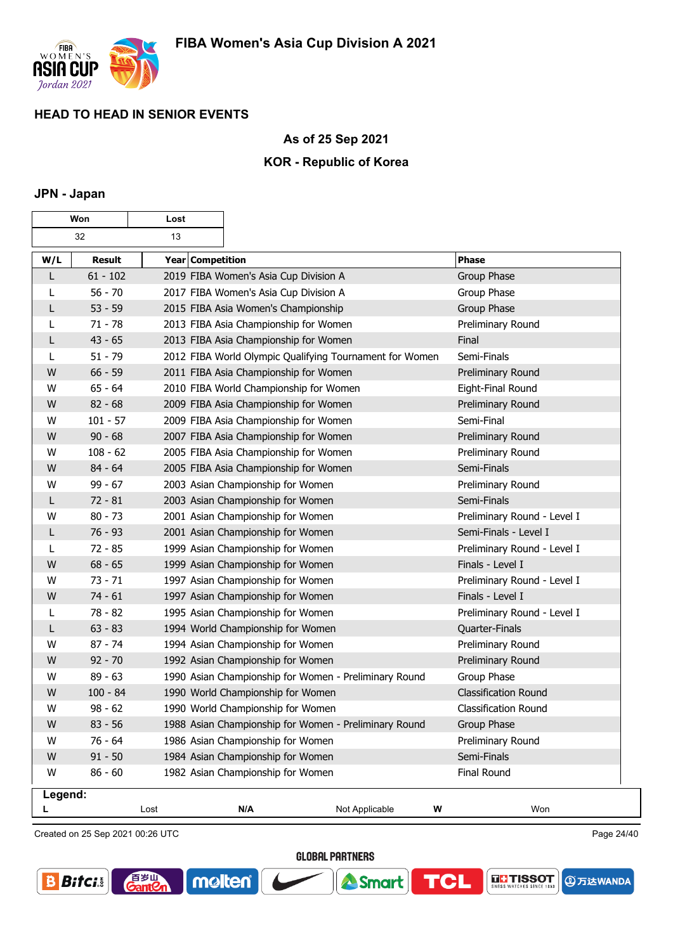

## **As of 25 Sep 2021**

### **KOR - Republic of Korea**

### **JPN - Japan**

| Won<br>Lost  |            |                         |                                                         |                |                             |
|--------------|------------|-------------------------|---------------------------------------------------------|----------------|-----------------------------|
|              | 32         | 13                      |                                                         |                |                             |
| W/L          | Result     | <b>Year Competition</b> |                                                         |                | <b>Phase</b>                |
| $\mathsf{L}$ | $61 - 102$ |                         | 2019 FIBA Women's Asia Cup Division A                   |                | Group Phase                 |
| L            | $56 - 70$  |                         | 2017 FIBA Women's Asia Cup Division A                   |                | Group Phase                 |
| L            | $53 - 59$  |                         | 2015 FIBA Asia Women's Championship                     |                | Group Phase                 |
| L            | $71 - 78$  |                         | 2013 FIBA Asia Championship for Women                   |                | Preliminary Round           |
| L            | $43 - 65$  |                         | 2013 FIBA Asia Championship for Women                   |                | Final                       |
| L            | $51 - 79$  |                         | 2012 FIBA World Olympic Qualifying Tournament for Women |                | Semi-Finals                 |
| W            | $66 - 59$  |                         | 2011 FIBA Asia Championship for Women                   |                | Preliminary Round           |
| W            | $65 - 64$  |                         | 2010 FIBA World Championship for Women                  |                | Eight-Final Round           |
| W            | $82 - 68$  |                         | 2009 FIBA Asia Championship for Women                   |                | Preliminary Round           |
| W            | $101 - 57$ |                         | 2009 FIBA Asia Championship for Women                   |                | Semi-Final                  |
| W            | $90 - 68$  |                         | 2007 FIBA Asia Championship for Women                   |                | Preliminary Round           |
| W            | $108 - 62$ |                         | 2005 FIBA Asia Championship for Women                   |                | Preliminary Round           |
| W            | $84 - 64$  |                         | 2005 FIBA Asia Championship for Women                   |                | Semi-Finals                 |
| W            | $99 - 67$  |                         | 2003 Asian Championship for Women                       |                | Preliminary Round           |
| L            | $72 - 81$  |                         | 2003 Asian Championship for Women                       |                | Semi-Finals                 |
| w            | $80 - 73$  |                         | 2001 Asian Championship for Women                       |                | Preliminary Round - Level I |
| L            | $76 - 93$  |                         | 2001 Asian Championship for Women                       |                | Semi-Finals - Level I       |
| L            | $72 - 85$  |                         | 1999 Asian Championship for Women                       |                | Preliminary Round - Level I |
| W            | $68 - 65$  |                         | 1999 Asian Championship for Women                       |                | Finals - Level I            |
| W            | $73 - 71$  |                         | 1997 Asian Championship for Women                       |                | Preliminary Round - Level I |
| W            | $74 - 61$  |                         | 1997 Asian Championship for Women                       |                | Finals - Level I            |
| L            | 78 - 82    |                         | 1995 Asian Championship for Women                       |                | Preliminary Round - Level I |
| L            | $63 - 83$  |                         | 1994 World Championship for Women                       |                | Quarter-Finals              |
| W            | $87 - 74$  |                         | 1994 Asian Championship for Women                       |                | Preliminary Round           |
| W            | $92 - 70$  |                         | 1992 Asian Championship for Women                       |                | Preliminary Round           |
| W            | $89 - 63$  |                         | 1990 Asian Championship for Women - Preliminary Round   |                | Group Phase                 |
| W            | $100 - 84$ |                         | 1990 World Championship for Women                       |                | <b>Classification Round</b> |
| W            | $98 - 62$  |                         | 1990 World Championship for Women                       |                | <b>Classification Round</b> |
| W            | $83 - 56$  |                         | 1988 Asian Championship for Women - Preliminary Round   |                | Group Phase                 |
| W            | $76 - 64$  |                         | 1986 Asian Championship for Women                       |                | Preliminary Round           |
| W            | $91 - 50$  |                         | 1984 Asian Championship for Women                       |                | Semi-Finals                 |
| W            | $86 - 60$  |                         | 1982 Asian Championship for Women                       |                | <b>Final Round</b>          |
| Legend:      |            |                         |                                                         |                |                             |
|              |            | Lost                    | N/A                                                     | Not Applicable | W<br>Won                    |

Created on 25 Sep 2021 00:26 UTC

音<sub>罗山</sub><br>Gant2r

molten®

Page 24/40

**④万达WANDA** 

**THE TISSOT** 

**GLOBAL PARTNERS** 

**A** Smart

**TCL** 

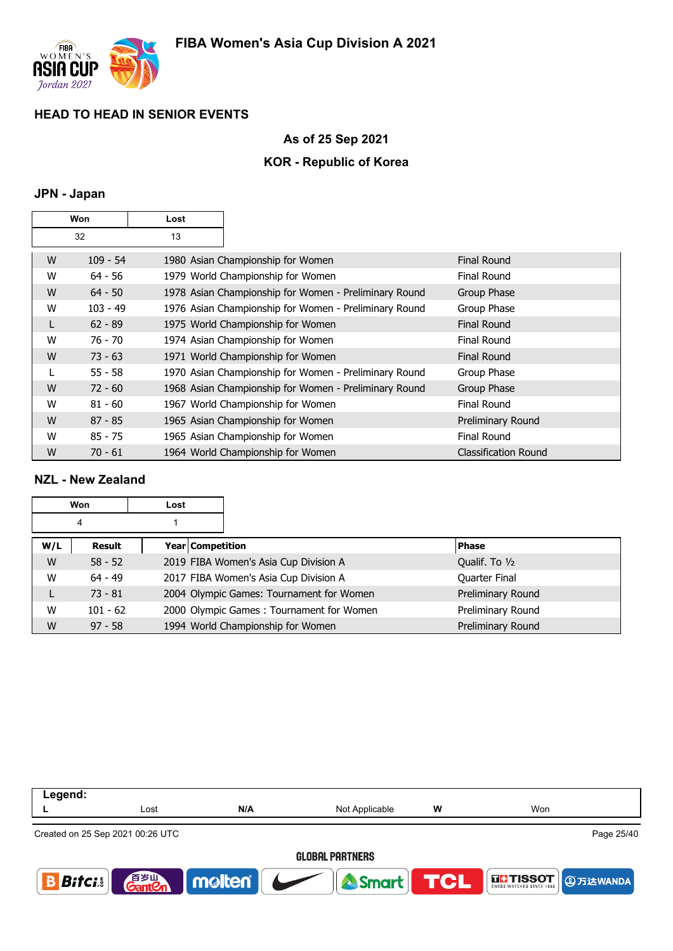

### **As of 25 Sep 2021**

### **KOR - Republic of Korea**

### **JPN - Japan**

|   | Won<br>Lost |    |                                                       |                             |
|---|-------------|----|-------------------------------------------------------|-----------------------------|
|   | 32          | 13 |                                                       |                             |
| W | $109 - 54$  |    | 1980 Asian Championship for Women                     | <b>Final Round</b>          |
| W | $64 - 56$   |    | 1979 World Championship for Women                     | <b>Final Round</b>          |
| W | $64 - 50$   |    | 1978 Asian Championship for Women - Preliminary Round | Group Phase                 |
| W | $103 - 49$  |    | 1976 Asian Championship for Women - Preliminary Round | Group Phase                 |
| L | $62 - 89$   |    | 1975 World Championship for Women                     | <b>Final Round</b>          |
| W | 76 - 70     |    | 1974 Asian Championship for Women                     | <b>Final Round</b>          |
| W | $73 - 63$   |    | 1971 World Championship for Women                     | <b>Final Round</b>          |
|   | $55 - 58$   |    | 1970 Asian Championship for Women - Preliminary Round | Group Phase                 |
| W | $72 - 60$   |    | 1968 Asian Championship for Women - Preliminary Round | Group Phase                 |
| W | $81 - 60$   |    | 1967 World Championship for Women                     | Final Round                 |
| W | $87 - 85$   |    | 1965 Asian Championship for Women                     | Preliminary Round           |
| W | $85 - 75$   |    | 1965 Asian Championship for Women                     | <b>Final Round</b>          |
| W | $70 - 61$   |    | 1964 World Championship for Women                     | <b>Classification Round</b> |

### **NZL - New Zealand**

|     | Won        | Lost             |                                          |                   |
|-----|------------|------------------|------------------------------------------|-------------------|
|     | 4          |                  |                                          |                   |
| W/L | Result     | Year Competition |                                          | <b>Phase</b>      |
| W   | $58 - 52$  |                  | 2019 FIBA Women's Asia Cup Division A    | Qualif. To 1/2    |
| W   | $64 - 49$  |                  | 2017 FIBA Women's Asia Cup Division A    | Quarter Final     |
| L   | $73 - 81$  |                  | 2004 Olympic Games: Tournament for Women | Preliminary Round |
| W   | $101 - 62$ |                  | 2000 Olympic Games: Tournament for Women | Preliminary Round |
| W   | $97 - 58$  |                  | 1994 World Championship for Women        | Preliminary Round |

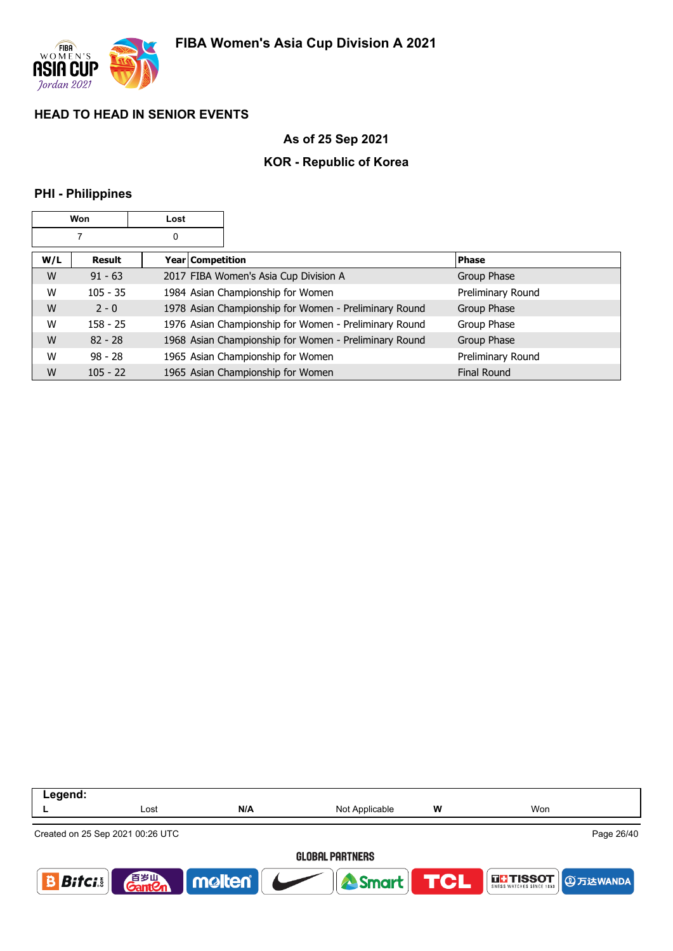

## **As of 25 Sep 2021**

## **KOR - Republic of Korea**

### **PHI - Philippines**

|     | Won        | Lost |                  |                                                       |                    |
|-----|------------|------|------------------|-------------------------------------------------------|--------------------|
|     |            | 0    |                  |                                                       |                    |
| W/L | Result     |      | Year Competition |                                                       | <b>Phase</b>       |
| W   | $91 - 63$  |      |                  | 2017 FIBA Women's Asia Cup Division A                 | Group Phase        |
| W   | $105 - 35$ |      |                  | 1984 Asian Championship for Women                     | Preliminary Round  |
| W   | $2 - 0$    |      |                  | 1978 Asian Championship for Women - Preliminary Round | Group Phase        |
| W   | $158 - 25$ |      |                  | 1976 Asian Championship for Women - Preliminary Round | Group Phase        |
| W   | $82 - 28$  |      |                  | 1968 Asian Championship for Women - Preliminary Round | Group Phase        |
| W   | $98 - 28$  |      |                  | 1965 Asian Championship for Women                     | Preliminary Round  |
| W   | $105 - 22$ |      |                  | 1965 Asian Championship for Women                     | <b>Final Round</b> |

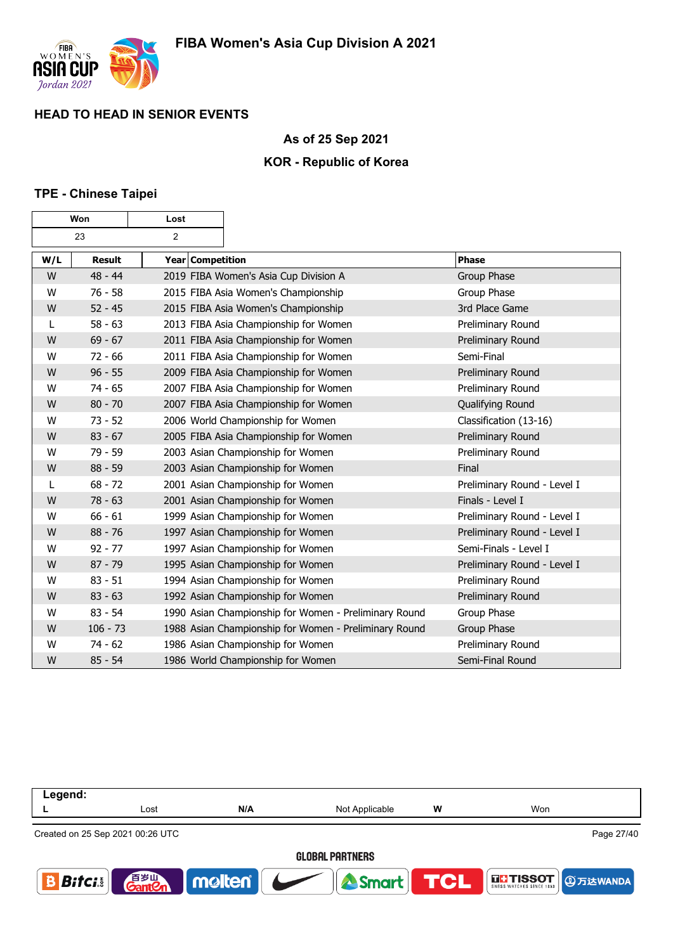

### **As of 25 Sep 2021**

### **KOR - Republic of Korea**

### **TPE - Chinese Taipei**

| Won |               | Lost             |                                                       |                             |
|-----|---------------|------------------|-------------------------------------------------------|-----------------------------|
|     | 23            | 2                |                                                       |                             |
| W/L | <b>Result</b> | Year Competition |                                                       | <b>Phase</b>                |
| W   | $48 - 44$     |                  | 2019 FIBA Women's Asia Cup Division A                 | Group Phase                 |
| W   | $76 - 58$     |                  | 2015 FIBA Asia Women's Championship                   | Group Phase                 |
| W   | $52 - 45$     |                  | 2015 FIBA Asia Women's Championship                   | 3rd Place Game              |
| L   | $58 - 63$     |                  | 2013 FIBA Asia Championship for Women                 | Preliminary Round           |
| W   | $69 - 67$     |                  | 2011 FIBA Asia Championship for Women                 | Preliminary Round           |
| W   | $72 - 66$     |                  | 2011 FIBA Asia Championship for Women                 | Semi-Final                  |
| W   | $96 - 55$     |                  | 2009 FIBA Asia Championship for Women                 | Preliminary Round           |
| W   | $74 - 65$     |                  | 2007 FIBA Asia Championship for Women                 | Preliminary Round           |
| W   | $80 - 70$     |                  | 2007 FIBA Asia Championship for Women                 | Qualifying Round            |
| W   | $73 - 52$     |                  | 2006 World Championship for Women                     | Classification (13-16)      |
| W   | $83 - 67$     |                  | 2005 FIBA Asia Championship for Women                 | Preliminary Round           |
| W   | $79 - 59$     |                  | 2003 Asian Championship for Women                     | Preliminary Round           |
| W   | $88 - 59$     |                  | 2003 Asian Championship for Women                     | Final                       |
| L   | $68 - 72$     |                  | 2001 Asian Championship for Women                     | Preliminary Round - Level I |
| W   | $78 - 63$     |                  | 2001 Asian Championship for Women                     | Finals - Level I            |
| W   | $66 - 61$     |                  | 1999 Asian Championship for Women                     | Preliminary Round - Level I |
| W   | $88 - 76$     |                  | 1997 Asian Championship for Women                     | Preliminary Round - Level I |
| W   | $92 - 77$     |                  | 1997 Asian Championship for Women                     | Semi-Finals - Level I       |
| W   | $87 - 79$     |                  | 1995 Asian Championship for Women                     | Preliminary Round - Level I |
| W   | $83 - 51$     |                  | 1994 Asian Championship for Women                     | Preliminary Round           |
| W   | $83 - 63$     |                  | 1992 Asian Championship for Women                     | Preliminary Round           |
| W   | $83 - 54$     |                  | 1990 Asian Championship for Women - Preliminary Round | Group Phase                 |
| W   | $106 - 73$    |                  | 1988 Asian Championship for Women - Preliminary Round | Group Phase                 |
| W   | $74 - 62$     |                  | 1986 Asian Championship for Women                     | Preliminary Round           |
| W   | $85 - 54$     |                  | 1986 World Championship for Women                     | Semi-Final Round            |

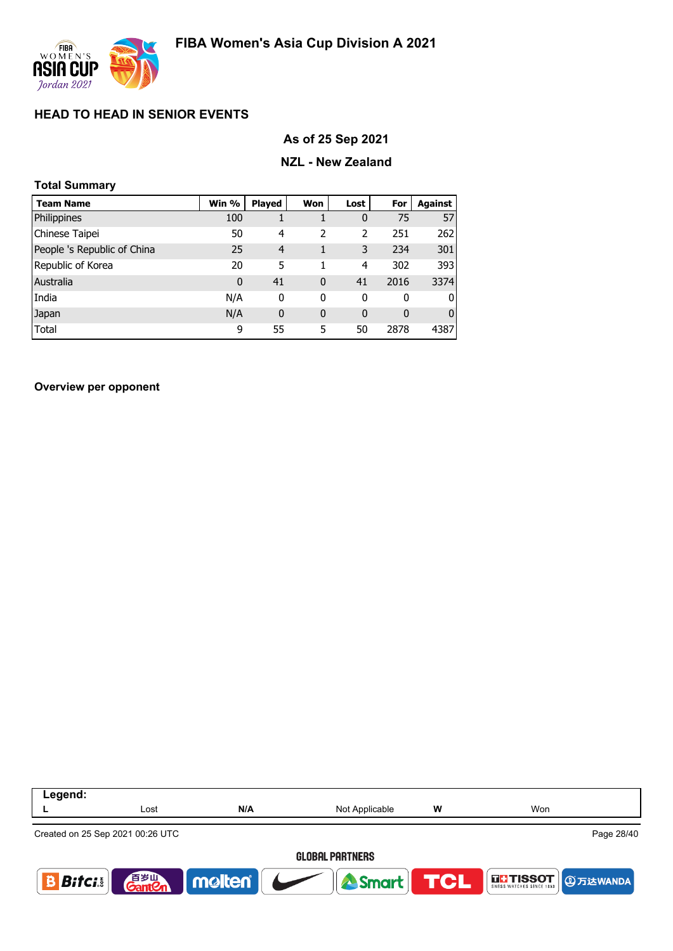

### **As of 25 Sep 2021**

### **NZL - New Zealand**

| <b>Total Summary</b>        |              |                |              |              |          |                |  |  |  |
|-----------------------------|--------------|----------------|--------------|--------------|----------|----------------|--|--|--|
| <b>Team Name</b>            | Win %        | <b>Played</b>  | Won          | Lost         | For      | Against        |  |  |  |
| Philippines                 | 100          |                |              | $\mathbf 0$  | 75       | 57             |  |  |  |
| Chinese Taipei              | 50           | 4              | 2            | 2            | 251      | 262            |  |  |  |
| People 's Republic of China | 25           | $\overline{4}$ | 1            | 3            | 234      | 301            |  |  |  |
| Republic of Korea           | 20           | 5              | 1            | 4            | 302      | 393            |  |  |  |
| Australia                   | $\mathbf{0}$ | 41             | $\mathbf{0}$ | 41           | 2016     | 3374           |  |  |  |
| India                       | N/A          | 0              | 0            | 0            | 0        | $\overline{0}$ |  |  |  |
| Japan                       | N/A          | $\mathbf{0}$   | $\mathbf{0}$ | $\mathbf{0}$ | $\Omega$ | $\overline{0}$ |  |  |  |
| Total                       | 9            | 55             | 5            | 50           | 2878     | 4387           |  |  |  |

**Overview per opponent**

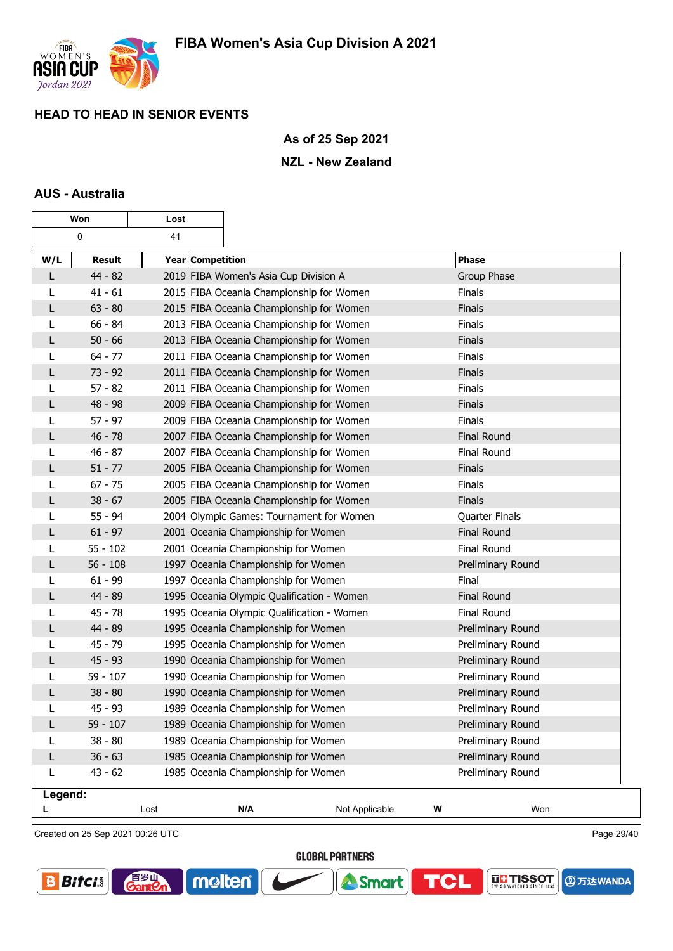

### **As of 25 Sep 2021**

### **NZL - New Zealand**

### **AUS - Australia**

|         | Won           | Lost                                       |                |                    |  |  |
|---------|---------------|--------------------------------------------|----------------|--------------------|--|--|
|         | 0             | 41                                         |                |                    |  |  |
| W/L     | <b>Result</b> | Year Competition                           |                | <b>Phase</b>       |  |  |
| L       | $44 - 82$     | 2019 FIBA Women's Asia Cup Division A      |                | Group Phase        |  |  |
| L       | $41 - 61$     | 2015 FIBA Oceania Championship for Women   |                | Finals             |  |  |
| L       | $63 - 80$     | 2015 FIBA Oceania Championship for Women   |                | Finals             |  |  |
| L       | $66 - 84$     | 2013 FIBA Oceania Championship for Women   |                | Finals             |  |  |
| L       | $50 - 66$     | 2013 FIBA Oceania Championship for Women   |                | Finals             |  |  |
| L       | $64 - 77$     | 2011 FIBA Oceania Championship for Women   |                | Finals             |  |  |
| L       | $73 - 92$     | 2011 FIBA Oceania Championship for Women   |                | Finals             |  |  |
| L       | $57 - 82$     | 2011 FIBA Oceania Championship for Women   |                | Finals             |  |  |
| L       | $48 - 98$     | 2009 FIBA Oceania Championship for Women   |                | Finals             |  |  |
| L       | $57 - 97$     | 2009 FIBA Oceania Championship for Women   |                | Finals             |  |  |
| L       | $46 - 78$     | 2007 FIBA Oceania Championship for Women   |                | <b>Final Round</b> |  |  |
| L       | $46 - 87$     | 2007 FIBA Oceania Championship for Women   |                | Final Round        |  |  |
| L       | $51 - 77$     | 2005 FIBA Oceania Championship for Women   |                | Finals             |  |  |
|         | $67 - 75$     | 2005 FIBA Oceania Championship for Women   |                | Finals             |  |  |
| L       | $38 - 67$     | 2005 FIBA Oceania Championship for Women   |                | <b>Finals</b>      |  |  |
| L       | $55 - 94$     | 2004 Olympic Games: Tournament for Women   |                | Quarter Finals     |  |  |
| L       | $61 - 97$     | 2001 Oceania Championship for Women        |                | <b>Final Round</b> |  |  |
| L       | $55 - 102$    | 2001 Oceania Championship for Women        |                | Final Round        |  |  |
| L       | $56 - 108$    | 1997 Oceania Championship for Women        |                | Preliminary Round  |  |  |
| L       | $61 - 99$     | 1997 Oceania Championship for Women        |                | Final              |  |  |
| L       | 44 - 89       | 1995 Oceania Olympic Qualification - Women |                | <b>Final Round</b> |  |  |
| L       | $45 - 78$     | 1995 Oceania Olympic Qualification - Women |                | Final Round        |  |  |
| L       | 44 - 89       | 1995 Oceania Championship for Women        |                | Preliminary Round  |  |  |
|         | 45 - 79       | 1995 Oceania Championship for Women        |                | Preliminary Round  |  |  |
| L       | $45 - 93$     | 1990 Oceania Championship for Women        |                | Preliminary Round  |  |  |
| L       | $59 - 107$    | 1990 Oceania Championship for Women        |                | Preliminary Round  |  |  |
| L       | $38 - 80$     | 1990 Oceania Championship for Women        |                | Preliminary Round  |  |  |
| L       | $45 - 93$     | 1989 Oceania Championship for Women        |                | Preliminary Round  |  |  |
| L       | $59 - 107$    | 1989 Oceania Championship for Women        |                | Preliminary Round  |  |  |
| L       | $38 - 80$     | 1989 Oceania Championship for Women        |                | Preliminary Round  |  |  |
| L       | $36 - 63$     | 1985 Oceania Championship for Women        |                | Preliminary Round  |  |  |
| L       | $43 - 62$     | 1985 Oceania Championship for Women        |                | Preliminary Round  |  |  |
| Legend: |               |                                            |                |                    |  |  |
|         |               | Lost<br>N/A                                | Not Applicable | W<br>Won           |  |  |

Created on 25 Sep 2021 00:26 UTC

百岁叫

 $\mathop{{\rm \text{ant}}}{\mathcal{C}}$ 

**GLOBAL PARTNERS** 

**A** Smart

**TCL** 

molten®

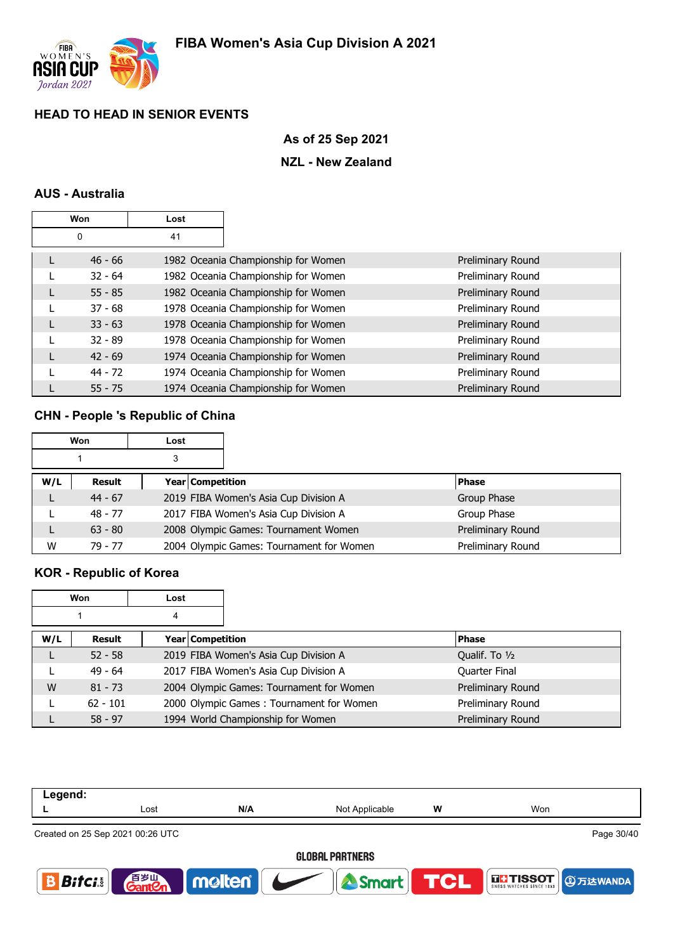

# **As of 25 Sep 2021**

### **NZL - New Zealand**

# **AUS - Australia**

| Won |           | Lost |                                     |                   |
|-----|-----------|------|-------------------------------------|-------------------|
|     | 0         | 41   |                                     |                   |
|     | $46 - 66$ |      | 1982 Oceania Championship for Women | Preliminary Round |
|     | $32 - 64$ |      | 1982 Oceania Championship for Women | Preliminary Round |
|     | $55 - 85$ |      | 1982 Oceania Championship for Women | Preliminary Round |
|     | $37 - 68$ |      | 1978 Oceania Championship for Women | Preliminary Round |
|     | $33 - 63$ |      | 1978 Oceania Championship for Women | Preliminary Round |
|     | $32 - 89$ |      | 1978 Oceania Championship for Women | Preliminary Round |
|     | $42 - 69$ |      | 1974 Oceania Championship for Women | Preliminary Round |
|     | 44 - 72   |      | 1974 Oceania Championship for Women | Preliminary Round |
|     | $55 - 75$ |      | 1974 Oceania Championship for Women | Preliminary Round |

# **CHN - People 's Republic of China**

| Won |           | Lost |                  |                                          |                   |
|-----|-----------|------|------------------|------------------------------------------|-------------------|
| 3   |           |      |                  |                                          |                   |
| W/L | Result    |      | Year Competition |                                          | <b>Phase</b>      |
|     | $44 - 67$ |      |                  | 2019 FIBA Women's Asia Cup Division A    | Group Phase       |
|     | 48 - 77   |      |                  | 2017 FIBA Women's Asia Cup Division A    | Group Phase       |
|     | $63 - 80$ |      |                  | 2008 Olympic Games: Tournament Women     | Preliminary Round |
| W   | 79 - 77   |      |                  | 2004 Olympic Games: Tournament for Women | Preliminary Round |

# **KOR - Republic of Korea**

| Won |                            | Lost |                                          |                   |
|-----|----------------------------|------|------------------------------------------|-------------------|
| 4   |                            |      |                                          |                   |
| W/L | Year Competition<br>Result |      |                                          | <b>Phase</b>      |
|     | $52 - 58$                  |      | 2019 FIBA Women's Asia Cup Division A    | Qualif. To 1/2    |
|     | $49 - 64$                  |      | 2017 FIBA Women's Asia Cup Division A    | Quarter Final     |
| W   | $81 - 73$                  |      | 2004 Olympic Games: Tournament for Women | Preliminary Round |
|     | $62 - 101$                 |      | 2000 Olympic Games: Tournament for Women | Preliminary Round |
|     | $58 - 97$                  |      | 1994 World Championship for Women        | Preliminary Round |

| Legend:                |                                  |        |                |            |                   |  |  |  |  |
|------------------------|----------------------------------|--------|----------------|------------|-------------------|--|--|--|--|
|                        | Lost                             | N/A    | Not Applicable | W          | Won               |  |  |  |  |
|                        | Created on 25 Sep 2021 00:26 UTC |        |                |            | Page 30/40        |  |  |  |  |
|                        | <b>GLOBAL PARTNERS</b>           |        |                |            |                   |  |  |  |  |
| $\bm{B}$ ifci $\bm{s}$ | 百岁山<br><b>GantCn</b>             | molten | <b>A</b> Smart | <b>TCL</b> | <b>4 少万达WANDA</b> |  |  |  |  |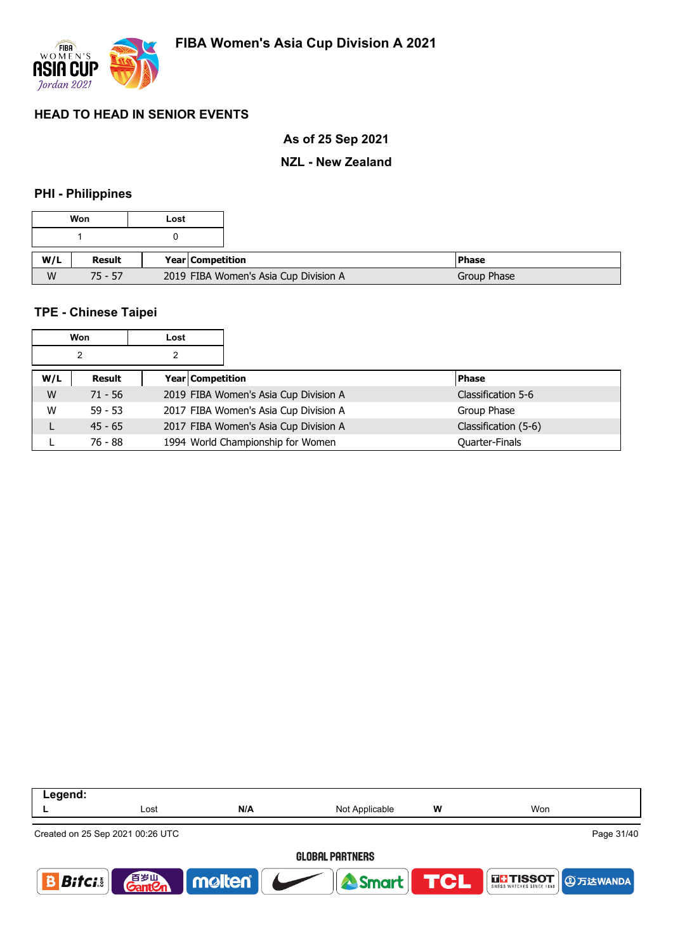

## **As of 25 Sep 2021**

### **NZL - New Zealand**

## **PHI - Philippines**

| Won |           | Lost |                                       |              |
|-----|-----------|------|---------------------------------------|--------------|
|     |           |      |                                       |              |
| W/L | Result    |      | Year Competition                      | <b>Phase</b> |
| W   | $75 - 57$ |      | 2019 FIBA Women's Asia Cup Division A | Group Phase  |

### **TPE - Chinese Taipei**

| <b>Won</b> |           | Lost |                                       |                      |
|------------|-----------|------|---------------------------------------|----------------------|
| 2          |           | 2    |                                       |                      |
| W/L        | Result    |      | Year Competition                      | <b>Phase</b>         |
| W          | $71 - 56$ |      | 2019 FIBA Women's Asia Cup Division A | Classification 5-6   |
| W          | $59 - 53$ |      | 2017 FIBA Women's Asia Cup Division A | Group Phase          |
|            | $45 - 65$ |      | 2017 FIBA Women's Asia Cup Division A | Classification (5-6) |
|            | 76 - 88   |      | 1994 World Championship for Women     | Quarter-Finals       |

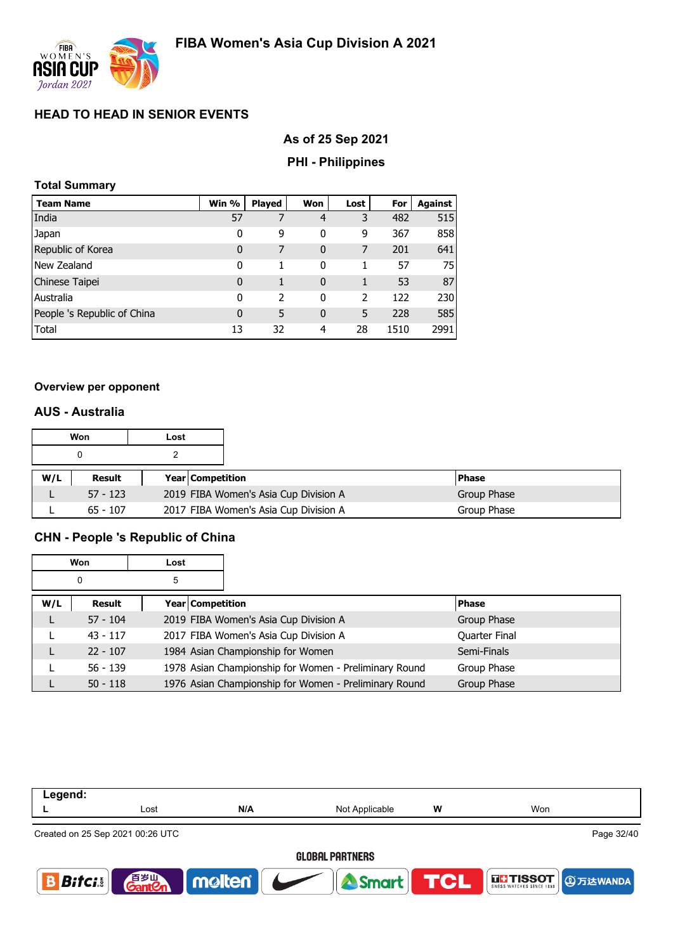

# **As of 25 Sep 2021**

# **PHI - Philippines**

### **Total Summary**

| <b>Team Name</b>            | Win %       | <b>Played</b>  | Won          | Lost                     | For  | Against |
|-----------------------------|-------------|----------------|--------------|--------------------------|------|---------|
| India                       | 57          |                | 4            | 3                        | 482  | 515     |
| Japan                       | 0           | 9              | 0            | 9                        | 367  | 858     |
| Republic of Korea           | $\bf{0}$    | 7              | $\mathbf{0}$ | 7                        | 201  | 641     |
| New Zealand                 | 0           |                | 0            |                          | 57   | 75      |
| Chinese Taipei              | $\bf{0}$    | 1              | $\mathbf{0}$ | 1                        | 53   | 87      |
| Australia                   | 0           | $\overline{2}$ | 0            | $\overline{\phantom{a}}$ | 122  | 230     |
| People 's Republic of China | $\mathbf 0$ | 5              | $\mathbf{0}$ | 5                        | 228  | 585     |
| Total                       | 13          | 32             | 4            | 28                       | 1510 | 2991    |

### **Overview per opponent**

### **AUS - Australia**

| Won |            | Lost |                         |                                       |              |
|-----|------------|------|-------------------------|---------------------------------------|--------------|
|     |            |      |                         |                                       |              |
| W/L | Result     |      | <b>Year Competition</b> |                                       | <b>Phase</b> |
|     | $57 - 123$ |      |                         | 2019 FIBA Women's Asia Cup Division A | Group Phase  |
|     | $65 - 107$ |      |                         | 2017 FIBA Women's Asia Cup Division A | Group Phase  |

# **CHN - People 's Republic of China**

| Won    |            | Lost                    |                                                       |               |
|--------|------------|-------------------------|-------------------------------------------------------|---------------|
| 0<br>5 |            |                         |                                                       |               |
| W/L    | Result     | <b>Year Competition</b> |                                                       | <b>Phase</b>  |
|        | $57 - 104$ |                         | 2019 FIBA Women's Asia Cup Division A                 | Group Phase   |
|        | $43 - 117$ |                         | 2017 FIBA Women's Asia Cup Division A                 | Quarter Final |
|        | $22 - 107$ |                         | 1984 Asian Championship for Women                     | Semi-Finals   |
|        | $56 - 139$ |                         | 1978 Asian Championship for Women - Preliminary Round | Group Phase   |
|        | $50 - 118$ |                         | 1976 Asian Championship for Women - Preliminary Round | Group Phase   |

| Legend:                               |                                    |                        |                |   |                          |  |  |
|---------------------------------------|------------------------------------|------------------------|----------------|---|--------------------------|--|--|
|                                       | Lost                               | N/A                    | Not Applicable | W | Won                      |  |  |
|                                       | Created on 25 Sep 2021 00:26 UTC   |                        |                |   | Page 32/40               |  |  |
|                                       | <b>GLOBAL PARTNERS</b>             |                        |                |   |                          |  |  |
| $\parallel$ Bitci. $_{5}$ $\parallel$ | 音 <sub>岁Ⅲ</sub><br>Gant <b>C</b> n | molten   <b>Vertex</b> | Smart TCL      |   | THSSOT <b>DETERMINED</b> |  |  |
|                                       |                                    |                        |                |   |                          |  |  |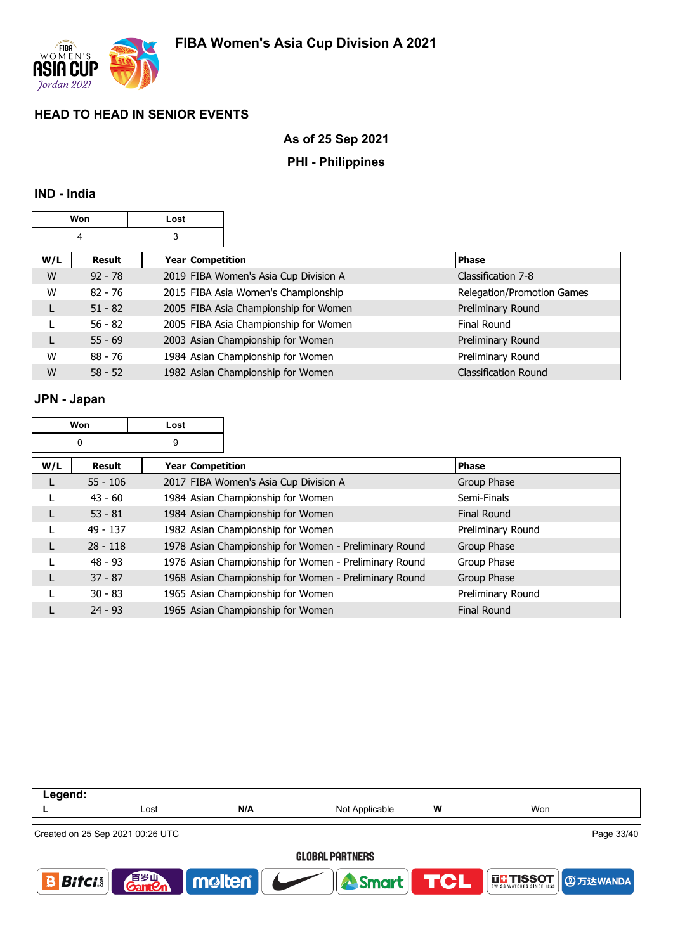

### **As of 25 Sep 2021**

### **PHI - Philippines**

### **IND - India**

|     | Won       | Lost               |                                       |                             |
|-----|-----------|--------------------|---------------------------------------|-----------------------------|
|     | 4         | 3                  |                                       |                             |
| W/L | Result    | Year   Competition |                                       | <b>Phase</b>                |
| W   | $92 - 78$ |                    | 2019 FIBA Women's Asia Cup Division A | Classification 7-8          |
| W   | $82 - 76$ |                    | 2015 FIBA Asia Women's Championship   | Relegation/Promotion Games  |
|     | $51 - 82$ |                    | 2005 FIBA Asia Championship for Women | Preliminary Round           |
|     | $56 - 82$ |                    | 2005 FIBA Asia Championship for Women | <b>Final Round</b>          |
|     | $55 - 69$ |                    | 2003 Asian Championship for Women     | Preliminary Round           |
| W   | $88 - 76$ |                    | 1984 Asian Championship for Women     | Preliminary Round           |
| W   | $58 - 52$ |                    | 1982 Asian Championship for Women     | <b>Classification Round</b> |

### **JPN - Japan**

|     | Won        | Lost             |                                                       |                    |
|-----|------------|------------------|-------------------------------------------------------|--------------------|
|     | 0          | 9                |                                                       |                    |
| W/L | Result     | Year Competition |                                                       | <b>Phase</b>       |
| L   | $55 - 106$ |                  | 2017 FIBA Women's Asia Cup Division A                 | Group Phase        |
|     | $43 - 60$  |                  | 1984 Asian Championship for Women                     | Semi-Finals        |
|     | $53 - 81$  |                  | 1984 Asian Championship for Women                     | <b>Final Round</b> |
|     | $49 - 137$ |                  | 1982 Asian Championship for Women                     | Preliminary Round  |
| L   | $28 - 118$ |                  | 1978 Asian Championship for Women - Preliminary Round | Group Phase        |
|     | $48 - 93$  |                  | 1976 Asian Championship for Women - Preliminary Round | Group Phase        |
| L   | $37 - 87$  |                  | 1968 Asian Championship for Women - Preliminary Round | Group Phase        |
|     | $30 - 83$  |                  | 1965 Asian Championship for Women                     | Preliminary Round  |
|     | $24 - 93$  |                  | 1965 Asian Championship for Women                     | <b>Final Round</b> |

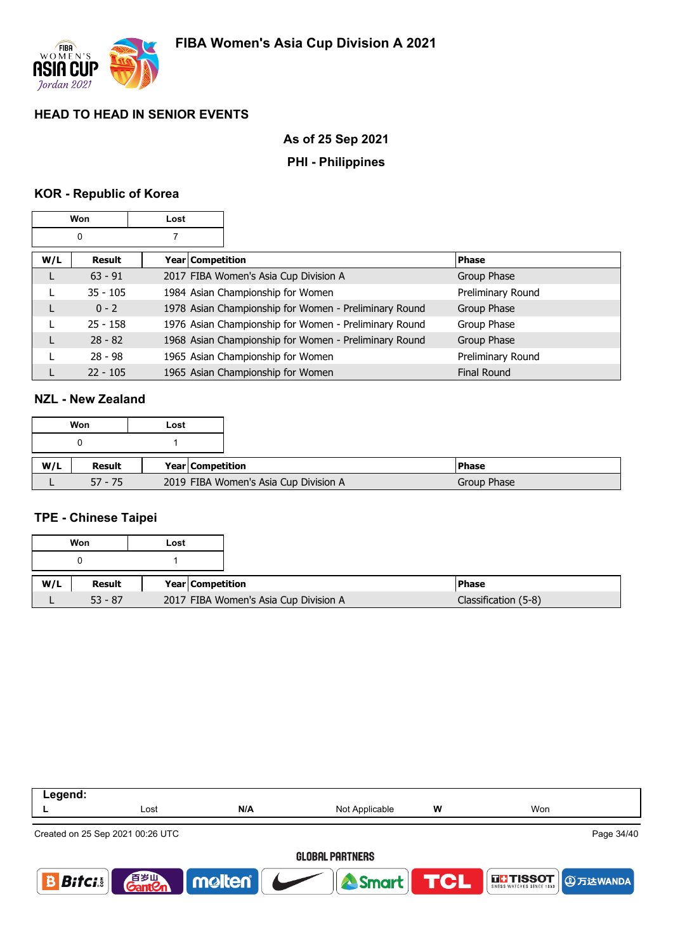

### **As of 25 Sep 2021**

### **PHI - Philippines**

## **KOR - Republic of Korea**

|     | Won        | Lost |                  |                                                       |                   |
|-----|------------|------|------------------|-------------------------------------------------------|-------------------|
|     | 0          |      |                  |                                                       |                   |
| W/L | Result     |      | Year Competition |                                                       | <b>Phase</b>      |
|     | $63 - 91$  |      |                  | 2017 FIBA Women's Asia Cup Division A                 | Group Phase       |
|     | $35 - 105$ |      |                  | 1984 Asian Championship for Women                     | Preliminary Round |
| L   | $0 - 2$    |      |                  | 1978 Asian Championship for Women - Preliminary Round | Group Phase       |
|     | $25 - 158$ |      |                  | 1976 Asian Championship for Women - Preliminary Round | Group Phase       |
|     | $28 - 82$  |      |                  | 1968 Asian Championship for Women - Preliminary Round | Group Phase       |
|     | $28 - 98$  |      |                  | 1965 Asian Championship for Women                     | Preliminary Round |
|     | $22 - 105$ |      |                  | 1965 Asian Championship for Women                     | Final Round       |

### **NZL - New Zealand**

|     | Won       | Lost |                         |                                       |              |
|-----|-----------|------|-------------------------|---------------------------------------|--------------|
|     |           |      |                         |                                       |              |
| W/L | Result    |      | <b>Year Competition</b> |                                       | <b>Phase</b> |
|     | $57 - 75$ |      |                         | 2019 FIBA Women's Asia Cup Division A | Group Phase  |

### **TPE - Chinese Taipei**

|     | Won       | Lost |                  |                                       |                      |
|-----|-----------|------|------------------|---------------------------------------|----------------------|
|     |           |      |                  |                                       |                      |
| W/L | Result    |      | Year Competition |                                       | l Phase              |
|     | $53 - 87$ |      |                  | 2017 FIBA Women's Asia Cup Division A | Classification (5-8) |



#### **GLOBAL PARTNERS**

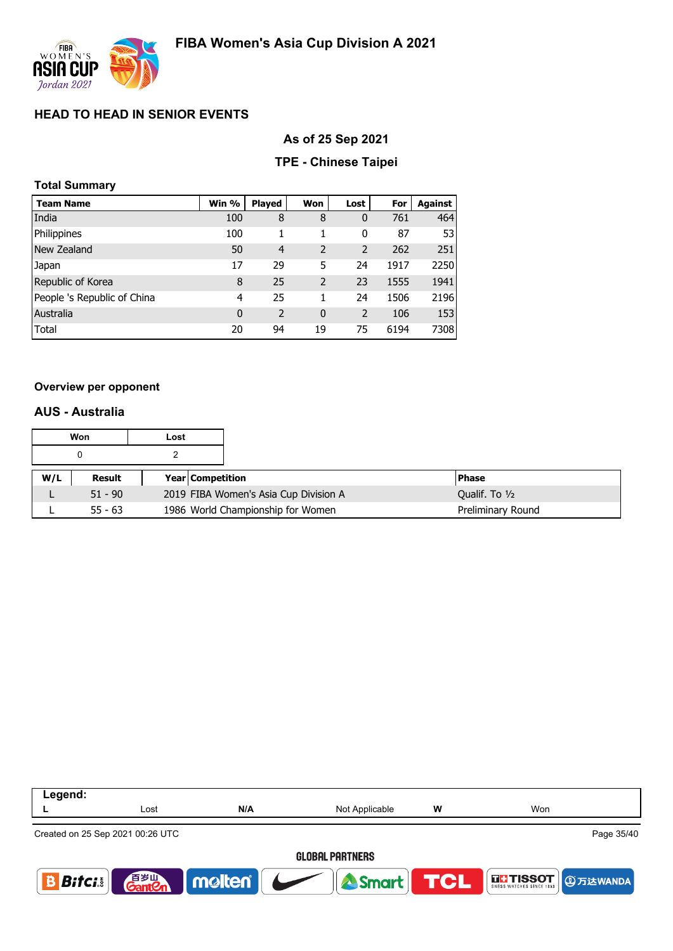

### **As of 25 Sep 2021**

### **TPE - Chinese Taipei**

### **Total Summary**

| <b>Team Name</b>            | Win % | <b>Played</b>  | Won            | Lost           | For  | Against |
|-----------------------------|-------|----------------|----------------|----------------|------|---------|
| India                       | 100   | 8              | 8              | 0              | 761  | 464     |
| Philippines                 | 100   | 1              | 1              | 0              | 87   | 53      |
| New Zealand                 | 50    | $\overline{4}$ | $\overline{2}$ | $\overline{2}$ | 262  | 251     |
| Japan                       | 17    | 29             | 5              | 24             | 1917 | 2250    |
| Republic of Korea           | 8     | 25             | $\overline{2}$ | 23             | 1555 | 1941    |
| People 's Republic of China | 4     | 25             | 1              | 24             | 1506 | 2196    |
| Australia                   | 0     | 2              | $\mathbf{0}$   | 2              | 106  | 153     |
| Total                       | 20    | 94             | 19             | 75             | 6194 | 7308    |

#### **Overview per opponent**

### **AUS - Australia**

|     | Won       | Lost |                         |                                       |                   |
|-----|-----------|------|-------------------------|---------------------------------------|-------------------|
|     |           |      |                         |                                       |                   |
| W/L | Result    |      | <b>Year Competition</b> |                                       | <b>Phase</b>      |
|     | $51 - 90$ |      |                         | 2019 FIBA Women's Asia Cup Division A | Qualif. To 1/2    |
|     | $55 - 63$ |      |                         | 1986 World Championship for Women     | Preliminary Round |



#### **GLOBAL PARTNERS**

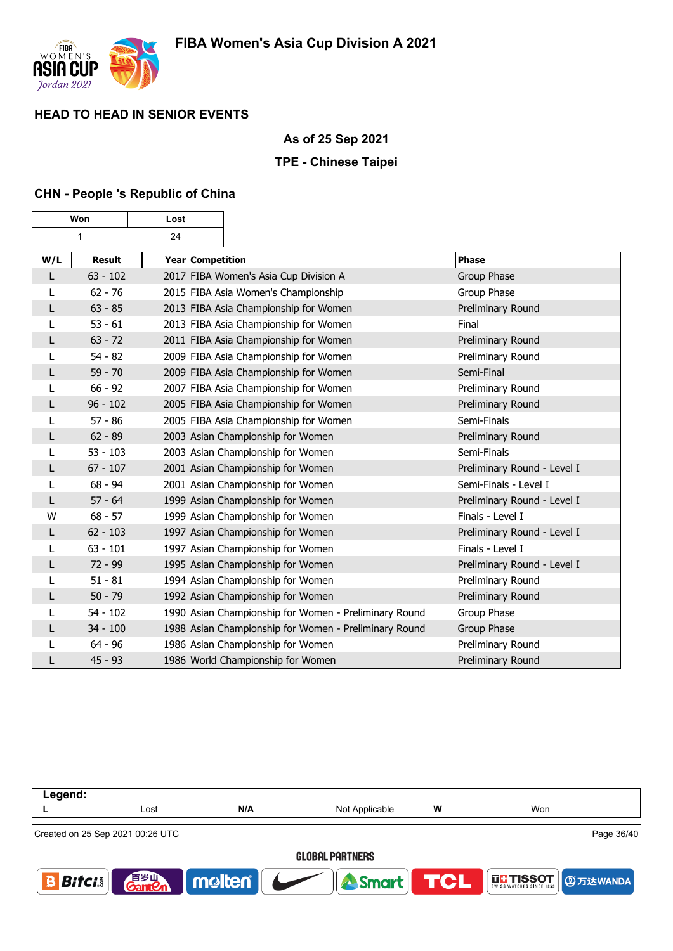

Г

# **HEAD TO HEAD IN SENIOR EVENTS**

### **As of 25 Sep 2021**

### **TPE - Chinese Taipei**

### **CHN - People 's Republic of China**

┱

٦

| Won |               | Lost             |                                                       |                             |
|-----|---------------|------------------|-------------------------------------------------------|-----------------------------|
|     | $\mathbf{1}$  | 24               |                                                       |                             |
| W/L | <b>Result</b> | Year Competition |                                                       | <b>Phase</b>                |
| L   | $63 - 102$    |                  | 2017 FIBA Women's Asia Cup Division A                 | Group Phase                 |
| L   | $62 - 76$     |                  | 2015 FIBA Asia Women's Championship                   | Group Phase                 |
| L   | $63 - 85$     |                  | 2013 FIBA Asia Championship for Women                 | Preliminary Round           |
|     | $53 - 61$     |                  | 2013 FIBA Asia Championship for Women                 | Final                       |
| L   | $63 - 72$     |                  | 2011 FIBA Asia Championship for Women                 | Preliminary Round           |
| L   | $54 - 82$     |                  | 2009 FIBA Asia Championship for Women                 | Preliminary Round           |
| L   | $59 - 70$     |                  | 2009 FIBA Asia Championship for Women                 | Semi-Final                  |
| L   | $66 - 92$     |                  | 2007 FIBA Asia Championship for Women                 | Preliminary Round           |
| L   | $96 - 102$    |                  | 2005 FIBA Asia Championship for Women                 | Preliminary Round           |
|     | $57 - 86$     |                  | 2005 FIBA Asia Championship for Women                 | Semi-Finals                 |
| L   | $62 - 89$     |                  | 2003 Asian Championship for Women                     | Preliminary Round           |
| L   | $53 - 103$    |                  | 2003 Asian Championship for Women                     | Semi-Finals                 |
| L   | $67 - 107$    |                  | 2001 Asian Championship for Women                     | Preliminary Round - Level I |
| L   | $68 - 94$     |                  | 2001 Asian Championship for Women                     | Semi-Finals - Level I       |
| L   | $57 - 64$     |                  | 1999 Asian Championship for Women                     | Preliminary Round - Level I |
| W   | $68 - 57$     |                  | 1999 Asian Championship for Women                     | Finals - Level I            |
| L   | $62 - 103$    |                  | 1997 Asian Championship for Women                     | Preliminary Round - Level I |
| L   | $63 - 101$    |                  | 1997 Asian Championship for Women                     | Finals - Level I            |
| L   | $72 - 99$     |                  | 1995 Asian Championship for Women                     | Preliminary Round - Level I |
| L   | $51 - 81$     |                  | 1994 Asian Championship for Women                     | Preliminary Round           |
| L   | $50 - 79$     |                  | 1992 Asian Championship for Women                     | Preliminary Round           |
|     | $54 - 102$    |                  | 1990 Asian Championship for Women - Preliminary Round | Group Phase                 |
| L   | $34 - 100$    |                  | 1988 Asian Championship for Women - Preliminary Round | Group Phase                 |
| L   | $64 - 96$     |                  | 1986 Asian Championship for Women                     | Preliminary Round           |
| L   | $45 - 93$     |                  | 1986 World Championship for Women                     | Preliminary Round           |

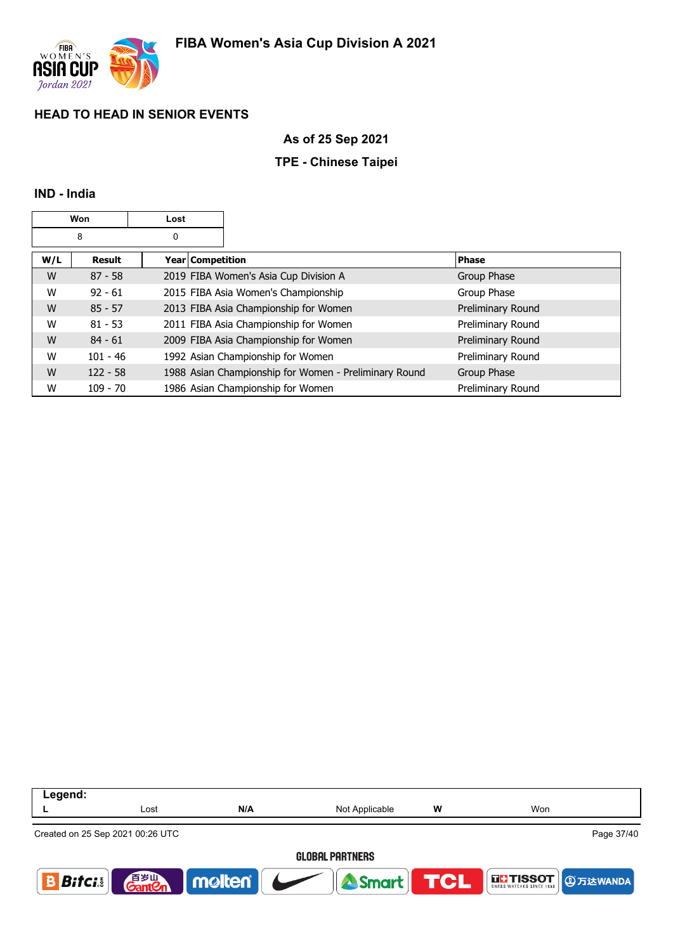

### **As of 25 Sep 2021**

### **TPE - Chinese Taipei**

### **IND - India**

|     | Won        | Lost                    |                                                       |                   |
|-----|------------|-------------------------|-------------------------------------------------------|-------------------|
|     | 8          | 0                       |                                                       |                   |
| W/L | Result     | <b>Year Competition</b> |                                                       | <b>Phase</b>      |
| W   | $87 - 58$  |                         | 2019 FIBA Women's Asia Cup Division A                 | Group Phase       |
| W   | $92 - 61$  |                         | 2015 FIBA Asia Women's Championship                   | Group Phase       |
| W   | $85 - 57$  |                         | 2013 FIBA Asia Championship for Women                 | Preliminary Round |
| W   | $81 - 53$  |                         | 2011 FIBA Asia Championship for Women                 | Preliminary Round |
| W   | $84 - 61$  |                         | 2009 FIBA Asia Championship for Women                 | Preliminary Round |
| W   | $101 - 46$ |                         | 1992 Asian Championship for Women                     | Preliminary Round |
| W   | $122 - 58$ |                         | 1988 Asian Championship for Women - Preliminary Round | Group Phase       |
| W   | $109 - 70$ |                         | 1986 Asian Championship for Women                     | Preliminary Round |

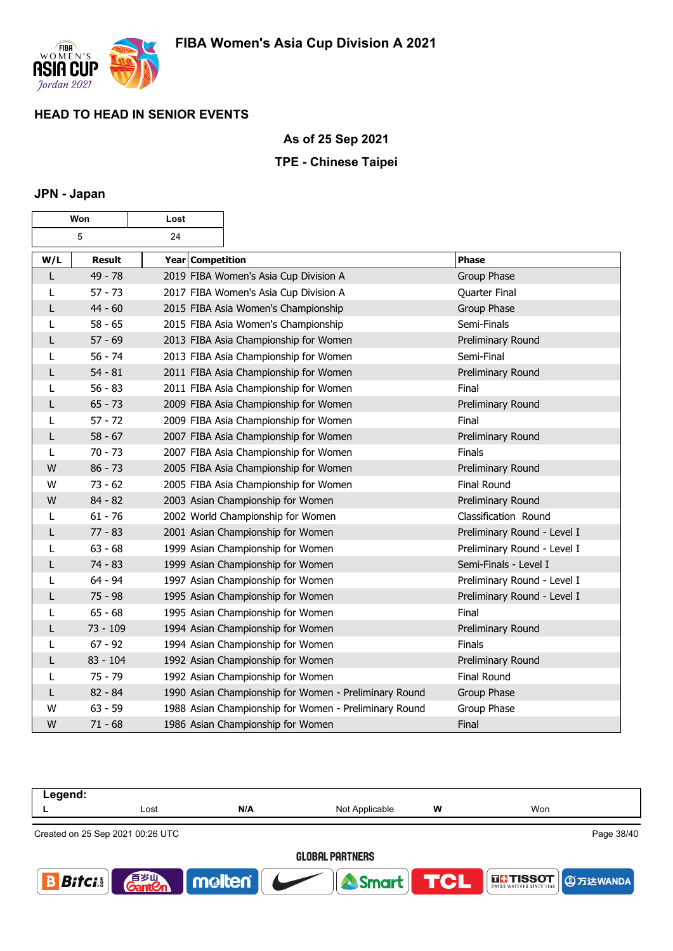

### **As of 25 Sep 2021**

### **TPE - Chinese Taipei**

### **JPN - Japan**

|     | Won           | Lost             |                                                       |                             |
|-----|---------------|------------------|-------------------------------------------------------|-----------------------------|
|     | 5             | 24               |                                                       |                             |
| W/L | <b>Result</b> | Year Competition |                                                       | Phase                       |
| L   | 49 - 78       |                  | 2019 FIBA Women's Asia Cup Division A                 | Group Phase                 |
| L   | $57 - 73$     |                  | 2017 FIBA Women's Asia Cup Division A                 | Quarter Final               |
| L   | $44 - 60$     |                  | 2015 FIBA Asia Women's Championship                   | Group Phase                 |
| L   | $58 - 65$     |                  | 2015 FIBA Asia Women's Championship                   | Semi-Finals                 |
| L   | $57 - 69$     |                  | 2013 FIBA Asia Championship for Women                 | Preliminary Round           |
| L   | $56 - 74$     |                  | 2013 FIBA Asia Championship for Women                 | Semi-Final                  |
| L   | $54 - 81$     |                  | 2011 FIBA Asia Championship for Women                 | Preliminary Round           |
| L   | $56 - 83$     |                  | 2011 FIBA Asia Championship for Women                 | Final                       |
| L   | $65 - 73$     |                  | 2009 FIBA Asia Championship for Women                 | Preliminary Round           |
| L   | $57 - 72$     |                  | 2009 FIBA Asia Championship for Women                 | Final                       |
| L   | $58 - 67$     |                  | 2007 FIBA Asia Championship for Women                 | Preliminary Round           |
| L   | $70 - 73$     |                  | 2007 FIBA Asia Championship for Women                 | Finals                      |
| W   | $86 - 73$     |                  | 2005 FIBA Asia Championship for Women                 | Preliminary Round           |
| W   | $73 - 62$     |                  | 2005 FIBA Asia Championship for Women                 | Final Round                 |
| W   | $84 - 82$     |                  | 2003 Asian Championship for Women                     | Preliminary Round           |
| L   | $61 - 76$     |                  | 2002 World Championship for Women                     | Classification Round        |
| L   | $77 - 83$     |                  | 2001 Asian Championship for Women                     | Preliminary Round - Level I |
| L   | $63 - 68$     |                  | 1999 Asian Championship for Women                     | Preliminary Round - Level I |
| L   | $74 - 83$     |                  | 1999 Asian Championship for Women                     | Semi-Finals - Level I       |
| L   | $64 - 94$     |                  | 1997 Asian Championship for Women                     | Preliminary Round - Level I |
| L   | $75 - 98$     |                  | 1995 Asian Championship for Women                     | Preliminary Round - Level I |
| L   | $65 - 68$     |                  | 1995 Asian Championship for Women                     | Final                       |
| L   | $73 - 109$    |                  | 1994 Asian Championship for Women                     | Preliminary Round           |
| L   | $67 - 92$     |                  | 1994 Asian Championship for Women                     | <b>Finals</b>               |
| L   | $83 - 104$    |                  | 1992 Asian Championship for Women                     | Preliminary Round           |
| L   | $75 - 79$     |                  | 1992 Asian Championship for Women                     | <b>Final Round</b>          |
| L   | $82 - 84$     |                  | 1990 Asian Championship for Women - Preliminary Round | Group Phase                 |
| W   | $63 - 59$     |                  | 1988 Asian Championship for Women - Preliminary Round | Group Phase                 |
| W   | $71 - 68$     |                  | 1986 Asian Championship for Women                     | Final                       |

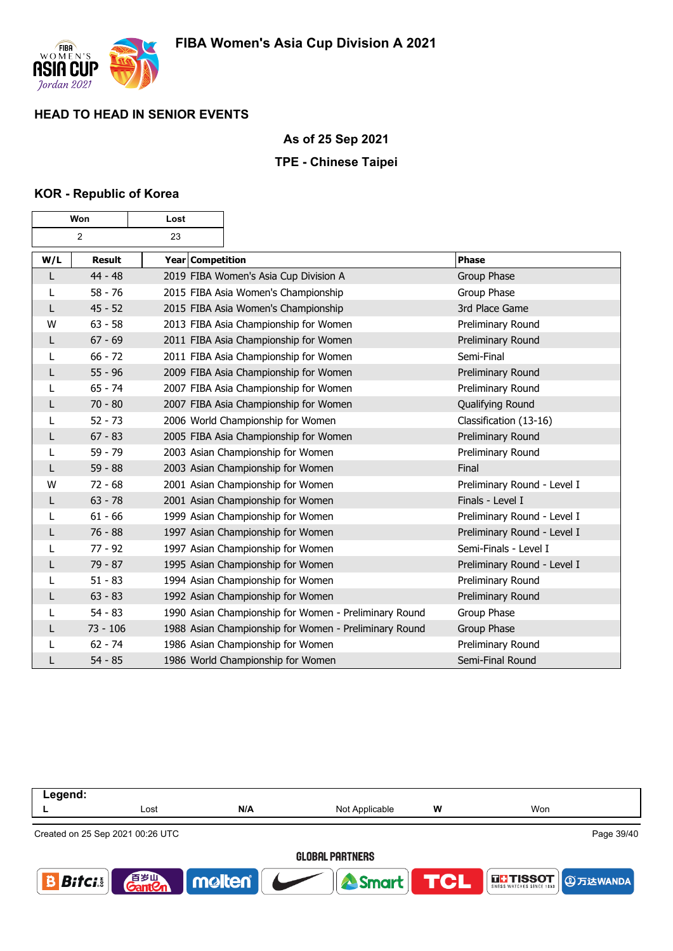

### **As of 25 Sep 2021**

### **TPE - Chinese Taipei**

### **KOR - Republic of Korea**

| Won |               | Lost             |                                                       |                             |
|-----|---------------|------------------|-------------------------------------------------------|-----------------------------|
|     | 2             | 23               |                                                       |                             |
| W/L | <b>Result</b> | Year Competition |                                                       | <b>Phase</b>                |
| L   | $44 - 48$     |                  | 2019 FIBA Women's Asia Cup Division A                 | Group Phase                 |
| L   | $58 - 76$     |                  | 2015 FIBA Asia Women's Championship                   | Group Phase                 |
| L   | $45 - 52$     |                  | 2015 FIBA Asia Women's Championship                   | 3rd Place Game              |
| W   | $63 - 58$     |                  | 2013 FIBA Asia Championship for Women                 | Preliminary Round           |
| L   | $67 - 69$     |                  | 2011 FIBA Asia Championship for Women                 | Preliminary Round           |
| L   | $66 - 72$     |                  | 2011 FIBA Asia Championship for Women                 | Semi-Final                  |
| L   | $55 - 96$     |                  | 2009 FIBA Asia Championship for Women                 | Preliminary Round           |
|     | $65 - 74$     |                  | 2007 FIBA Asia Championship for Women                 | Preliminary Round           |
| L   | $70 - 80$     |                  | 2007 FIBA Asia Championship for Women                 | Qualifying Round            |
|     | $52 - 73$     |                  | 2006 World Championship for Women                     | Classification (13-16)      |
| L   | $67 - 83$     |                  | 2005 FIBA Asia Championship for Women                 | Preliminary Round           |
| L   | $59 - 79$     |                  | 2003 Asian Championship for Women                     | Preliminary Round           |
| L   | $59 - 88$     |                  | 2003 Asian Championship for Women                     | Final                       |
| W   | $72 - 68$     |                  | 2001 Asian Championship for Women                     | Preliminary Round - Level I |
| L   | $63 - 78$     |                  | 2001 Asian Championship for Women                     | Finals - Level I            |
| L   | $61 - 66$     |                  | 1999 Asian Championship for Women                     | Preliminary Round - Level I |
| L   | $76 - 88$     |                  | 1997 Asian Championship for Women                     | Preliminary Round - Level I |
|     | $77 - 92$     |                  | 1997 Asian Championship for Women                     | Semi-Finals - Level I       |
| L   | $79 - 87$     |                  | 1995 Asian Championship for Women                     | Preliminary Round - Level I |
| L   | $51 - 83$     |                  | 1994 Asian Championship for Women                     | Preliminary Round           |
| L   | $63 - 83$     |                  | 1992 Asian Championship for Women                     | Preliminary Round           |
|     | $54 - 83$     |                  | 1990 Asian Championship for Women - Preliminary Round | Group Phase                 |
| L   | $73 - 106$    |                  | 1988 Asian Championship for Women - Preliminary Round | Group Phase                 |
| L   | $62 - 74$     |                  | 1986 Asian Championship for Women                     | Preliminary Round           |
|     | $54 - 85$     |                  | 1986 World Championship for Women                     | Semi-Final Round            |